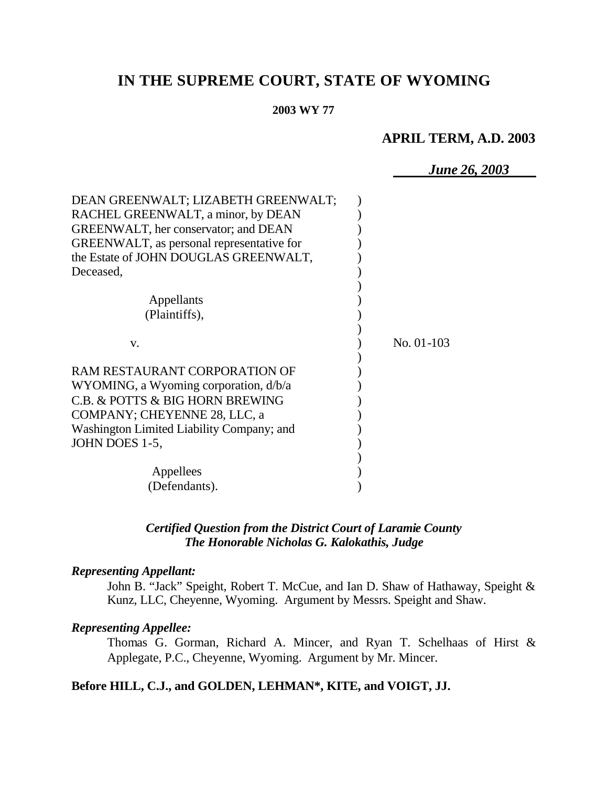# **IN THE SUPREME COURT, STATE OF WYOMING**

#### **2003 WY 77**

# **APRIL TERM, A.D. 2003**

*June 26, 2003*

| DEAN GREENWALT; LIZABETH GREENWALT;<br>RACHEL GREENWALT, a minor, by DEAN<br><b>GREENWALT</b> , her conservator; and DEAN<br>GREENWALT, as personal representative for<br>the Estate of JOHN DOUGLAS GREENWALT, |              |
|-----------------------------------------------------------------------------------------------------------------------------------------------------------------------------------------------------------------|--------------|
| Deceased,                                                                                                                                                                                                       |              |
|                                                                                                                                                                                                                 |              |
| Appellants<br>(Plaintiffs),                                                                                                                                                                                     |              |
| V.                                                                                                                                                                                                              | $No. 01-103$ |
| RAM RESTAURANT CORPORATION OF                                                                                                                                                                                   |              |
| WYOMING, a Wyoming corporation, d/b/a                                                                                                                                                                           |              |
| C.B. & POTTS & BIG HORN BREWING                                                                                                                                                                                 |              |
| COMPANY; CHEYENNE 28, LLC, a                                                                                                                                                                                    |              |
| Washington Limited Liability Company; and                                                                                                                                                                       |              |
| JOHN DOES 1-5,                                                                                                                                                                                                  |              |
|                                                                                                                                                                                                                 |              |
| Appellees                                                                                                                                                                                                       |              |
| (Defendants).                                                                                                                                                                                                   |              |

#### *Certified Question from the District Court of Laramie County The Honorable Nicholas G. Kalokathis, Judge*

#### *Representing Appellant:*

John B. "Jack" Speight, Robert T. McCue, and Ian D. Shaw of Hathaway, Speight & Kunz, LLC, Cheyenne, Wyoming. Argument by Messrs. Speight and Shaw.

#### *Representing Appellee:*

Thomas G. Gorman, Richard A. Mincer, and Ryan T. Schelhaas of Hirst & Applegate, P.C., Cheyenne, Wyoming. Argument by Mr. Mincer.

#### **Before HILL, C.J., and GOLDEN, LEHMAN\*, KITE, and VOIGT, JJ.**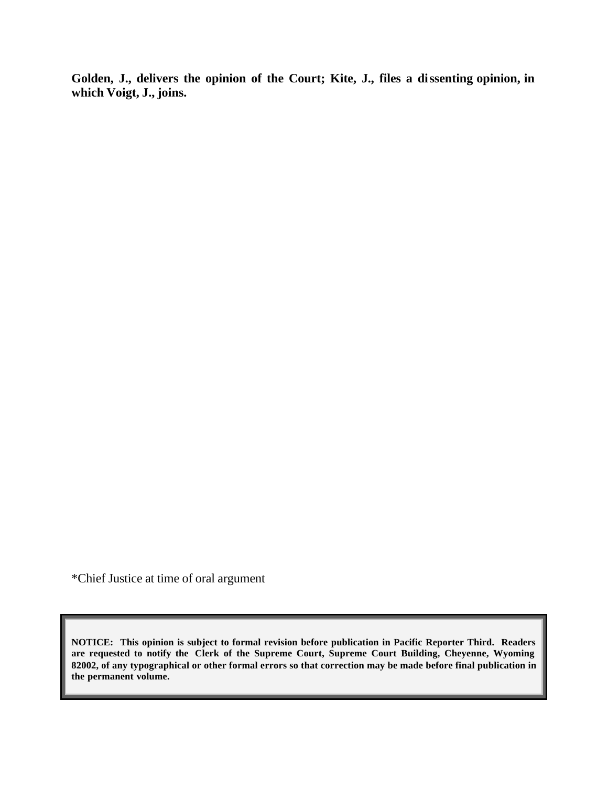**Golden, J., delivers the opinion of the Court; Kite, J., files a dissenting opinion, in which Voigt, J., joins.**

\*Chief Justice at time of oral argument

**NOTICE: This opinion is subject to formal revision before publication in Pacific Reporter Third. Readers are requested to notify the Clerk of the Supreme Court, Supreme Court Building, Cheyenne, Wyoming 82002, of any typographical or other formal errors so that correction may be made before final publication in the permanent volume.**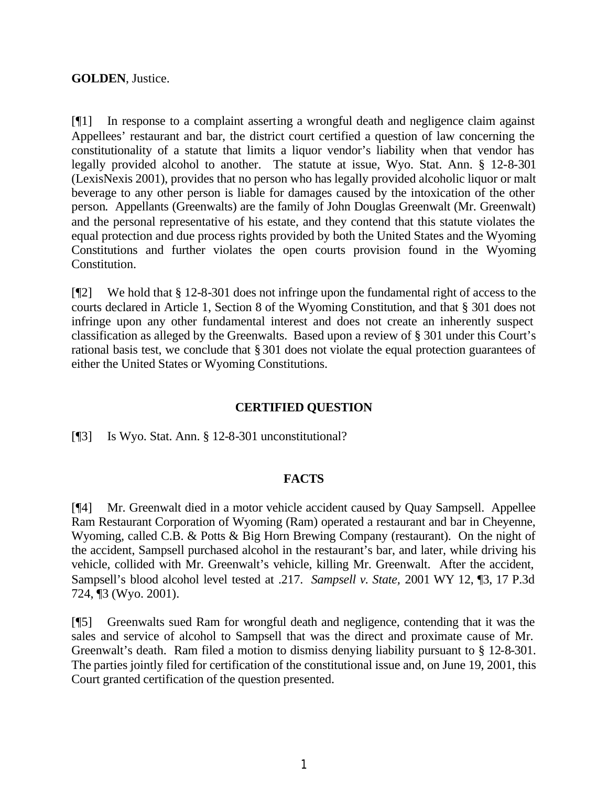#### **GOLDEN**, Justice.

[¶1] In response to a complaint asserting a wrongful death and negligence claim against Appellees' restaurant and bar, the district court certified a question of law concerning the constitutionality of a statute that limits a liquor vendor's liability when that vendor has legally provided alcohol to another. The statute at issue, Wyo. Stat. Ann. § 12-8-301 (LexisNexis 2001), provides that no person who has legally provided alcoholic liquor or malt beverage to any other person is liable for damages caused by the intoxication of the other person. Appellants (Greenwalts) are the family of John Douglas Greenwalt (Mr. Greenwalt) and the personal representative of his estate, and they contend that this statute violates the equal protection and due process rights provided by both the United States and the Wyoming Constitutions and further violates the open courts provision found in the Wyoming Constitution.

[¶2] We hold that § 12-8-301 does not infringe upon the fundamental right of access to the courts declared in Article 1, Section 8 of the Wyoming Constitution, and that § 301 does not infringe upon any other fundamental interest and does not create an inherently suspect classification as alleged by the Greenwalts. Based upon a review of § 301 under this Court's rational basis test, we conclude that § 301 does not violate the equal protection guarantees of either the United States or Wyoming Constitutions.

## **CERTIFIED QUESTION**

[¶3] Is Wyo. Stat. Ann. § 12-8-301 unconstitutional?

#### **FACTS**

[¶4] Mr. Greenwalt died in a motor vehicle accident caused by Quay Sampsell. Appellee Ram Restaurant Corporation of Wyoming (Ram) operated a restaurant and bar in Cheyenne, Wyoming, called C.B. & Potts & Big Horn Brewing Company (restaurant). On the night of the accident, Sampsell purchased alcohol in the restaurant's bar, and later, while driving his vehicle, collided with Mr. Greenwalt's vehicle, killing Mr. Greenwalt. After the accident, Sampsell's blood alcohol level tested at .217. *Sampsell v. State,* 2001 WY 12, ¶3, 17 P.3d 724, ¶3 (Wyo. 2001).

[¶5] Greenwalts sued Ram for wrongful death and negligence, contending that it was the sales and service of alcohol to Sampsell that was the direct and proximate cause of Mr. Greenwalt's death. Ram filed a motion to dismiss denying liability pursuant to § 12-8-301. The parties jointly filed for certification of the constitutional issue and, on June 19, 2001, this Court granted certification of the question presented.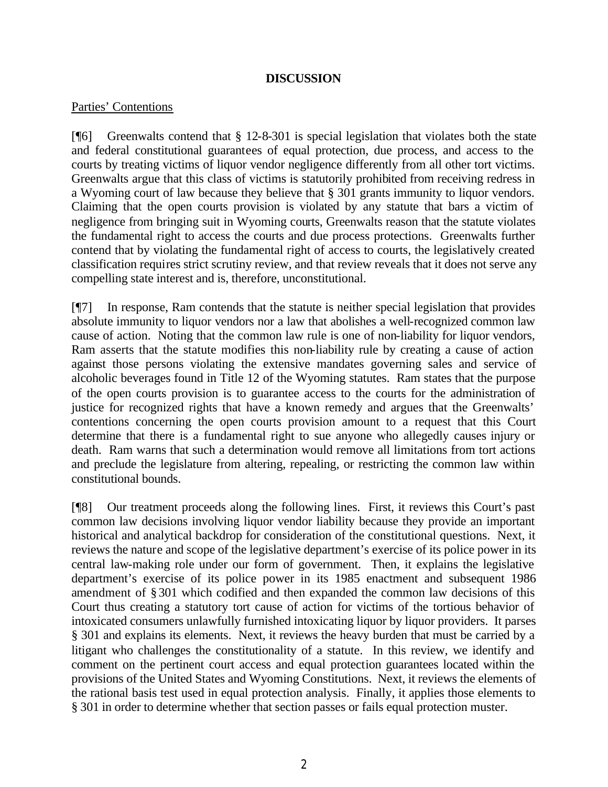#### **DISCUSSION**

#### Parties' Contentions

[¶6] Greenwalts contend that § 12-8-301 is special legislation that violates both the state and federal constitutional guarantees of equal protection, due process, and access to the courts by treating victims of liquor vendor negligence differently from all other tort victims. Greenwalts argue that this class of victims is statutorily prohibited from receiving redress in a Wyoming court of law because they believe that § 301 grants immunity to liquor vendors. Claiming that the open courts provision is violated by any statute that bars a victim of negligence from bringing suit in Wyoming courts, Greenwalts reason that the statute violates the fundamental right to access the courts and due process protections. Greenwalts further contend that by violating the fundamental right of access to courts, the legislatively created classification requires strict scrutiny review, and that review reveals that it does not serve any compelling state interest and is, therefore, unconstitutional.

[¶7] In response, Ram contends that the statute is neither special legislation that provides absolute immunity to liquor vendors nor a law that abolishes a well-recognized common law cause of action. Noting that the common law rule is one of non-liability for liquor vendors, Ram asserts that the statute modifies this non-liability rule by creating a cause of action against those persons violating the extensive mandates governing sales and service of alcoholic beverages found in Title 12 of the Wyoming statutes. Ram states that the purpose of the open courts provision is to guarantee access to the courts for the administration of justice for recognized rights that have a known remedy and argues that the Greenwalts' contentions concerning the open courts provision amount to a request that this Court determine that there is a fundamental right to sue anyone who allegedly causes injury or death. Ram warns that such a determination would remove all limitations from tort actions and preclude the legislature from altering, repealing, or restricting the common law within constitutional bounds.

[¶8] Our treatment proceeds along the following lines. First, it reviews this Court's past common law decisions involving liquor vendor liability because they provide an important historical and analytical backdrop for consideration of the constitutional questions. Next, it reviews the nature and scope of the legislative department's exercise of its police power in its central law-making role under our form of government. Then, it explains the legislative department's exercise of its police power in its 1985 enactment and subsequent 1986 amendment of § 301 which codified and then expanded the common law decisions of this Court thus creating a statutory tort cause of action for victims of the tortious behavior of intoxicated consumers unlawfully furnished intoxicating liquor by liquor providers. It parses § 301 and explains its elements. Next, it reviews the heavy burden that must be carried by a litigant who challenges the constitutionality of a statute. In this review, we identify and comment on the pertinent court access and equal protection guarantees located within the provisions of the United States and Wyoming Constitutions. Next, it reviews the elements of the rational basis test used in equal protection analysis. Finally, it applies those elements to § 301 in order to determine whether that section passes or fails equal protection muster.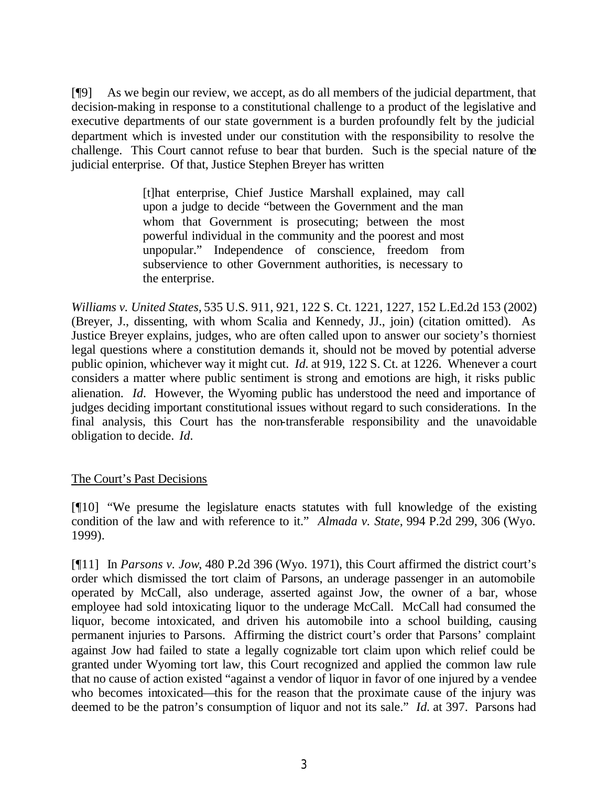[¶9] As we begin our review, we accept, as do all members of the judicial department, that decision-making in response to a constitutional challenge to a product of the legislative and executive departments of our state government is a burden profoundly felt by the judicial department which is invested under our constitution with the responsibility to resolve the challenge. This Court cannot refuse to bear that burden. Such is the special nature of the judicial enterprise. Of that, Justice Stephen Breyer has written

> [t]hat enterprise, Chief Justice Marshall explained, may call upon a judge to decide "between the Government and the man whom that Government is prosecuting; between the most powerful individual in the community and the poorest and most unpopular." Independence of conscience, freedom from subservience to other Government authorities, is necessary to the enterprise.

*Williams v. United States,* 535 U.S. 911, 921, 122 S. Ct. 1221, 1227, 152 L.Ed.2d 153 (2002) (Breyer, J., dissenting, with whom Scalia and Kennedy, JJ., join) (citation omitted). As Justice Breyer explains, judges, who are often called upon to answer our society's thorniest legal questions where a constitution demands it, should not be moved by potential adverse public opinion, whichever way it might cut. *Id.* at 919, 122 S. Ct. at 1226. Whenever a court considers a matter where public sentiment is strong and emotions are high, it risks public alienation. *Id.* However, the Wyoming public has understood the need and importance of judges deciding important constitutional issues without regard to such considerations. In the final analysis, this Court has the non-transferable responsibility and the unavoidable obligation to decide. *Id.*

#### The Court's Past Decisions

[¶10] "We presume the legislature enacts statutes with full knowledge of the existing condition of the law and with reference to it." *Almada v. State*, 994 P.2d 299, 306 (Wyo. 1999).

[¶11] In *Parsons v. Jow*, 480 P.2d 396 (Wyo. 1971), this Court affirmed the district court's order which dismissed the tort claim of Parsons, an underage passenger in an automobile operated by McCall, also underage, asserted against Jow, the owner of a bar, whose employee had sold intoxicating liquor to the underage McCall. McCall had consumed the liquor, become intoxicated, and driven his automobile into a school building, causing permanent injuries to Parsons. Affirming the district court's order that Parsons' complaint against Jow had failed to state a legally cognizable tort claim upon which relief could be granted under Wyoming tort law, this Court recognized and applied the common law rule that no cause of action existed "against a vendor of liquor in favor of one injured by a vendee who becomes intoxicated—this for the reason that the proximate cause of the injury was deemed to be the patron's consumption of liquor and not its sale." *Id.* at 397. Parsons had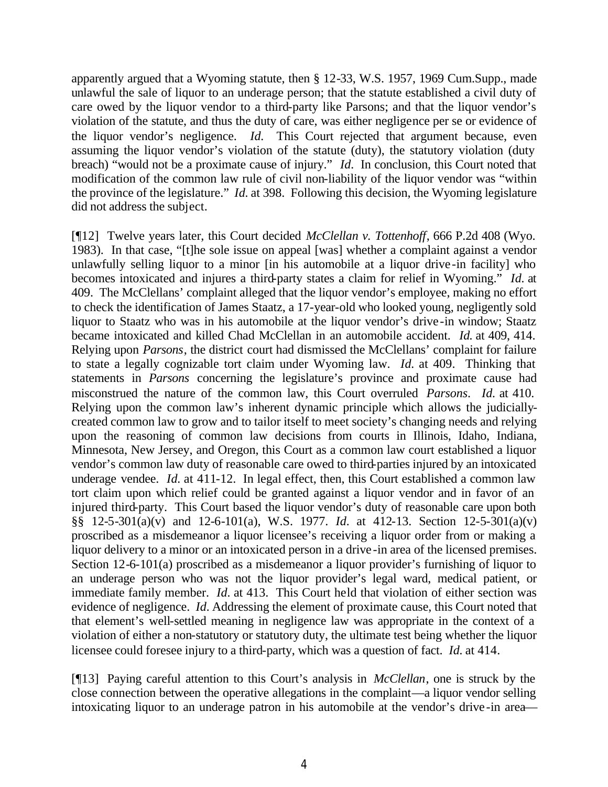apparently argued that a Wyoming statute, then § 12-33, W.S. 1957, 1969 Cum.Supp., made unlawful the sale of liquor to an underage person; that the statute established a civil duty of care owed by the liquor vendor to a third-party like Parsons; and that the liquor vendor's violation of the statute, and thus the duty of care, was either negligence per se or evidence of the liquor vendor's negligence. *Id.* This Court rejected that argument because, even assuming the liquor vendor's violation of the statute (duty), the statutory violation (duty breach) "would not be a proximate cause of injury." *Id.* In conclusion, this Court noted that modification of the common law rule of civil non-liability of the liquor vendor was "within the province of the legislature." *Id.* at 398. Following this decision, the Wyoming legislature did not address the subject.

[¶12] Twelve years later, this Court decided *McClellan v. Tottenhoff*, 666 P.2d 408 (Wyo. 1983). In that case, "[t]he sole issue on appeal [was] whether a complaint against a vendor unlawfully selling liquor to a minor [in his automobile at a liquor drive -in facility] who becomes intoxicated and injures a third-party states a claim for relief in Wyoming." *Id.* at 409. The McClellans' complaint alleged that the liquor vendor's employee, making no effort to check the identification of James Staatz, a 17-year-old who looked young, negligently sold liquor to Staatz who was in his automobile at the liquor vendor's drive-in window; Staatz became intoxicated and killed Chad McClellan in an automobile accident. *Id.* at 409, 414. Relying upon *Parsons*, the district court had dismissed the McClellans' complaint for failure to state a legally cognizable tort claim under Wyoming law. *Id.* at 409. Thinking that statements in *Parsons* concerning the legislature's province and proximate cause had misconstrued the nature of the common law, this Court overruled *Parsons*. *Id.* at 410. Relying upon the common law's inherent dynamic principle which allows the judiciallycreated common law to grow and to tailor itself to meet society's changing needs and relying upon the reasoning of common law decisions from courts in Illinois, Idaho, Indiana, Minnesota, New Jersey, and Oregon, this Court as a common law court established a liquor vendor's common law duty of reasonable care owed to third-parties injured by an intoxicated underage vendee. *Id.* at 411-12. In legal effect, then, this Court established a common law tort claim upon which relief could be granted against a liquor vendor and in favor of an injured third-party. This Court based the liquor vendor's duty of reasonable care upon both §§ 12-5-301(a)(v) and 12-6-101(a), W.S. 1977. *Id.* at 412-13. Section 12-5-301(a)(v) proscribed as a misdemeanor a liquor licensee's receiving a liquor order from or making a liquor delivery to a minor or an intoxicated person in a drive -in area of the licensed premises. Section 12-6-101(a) proscribed as a misdemeanor a liquor provider's furnishing of liquor to an underage person who was not the liquor provider's legal ward, medical patient, or immediate family member. *Id.* at 413. This Court held that violation of either section was evidence of negligence. *Id.* Addressing the element of proximate cause, this Court noted that that element's well-settled meaning in negligence law was appropriate in the context of a violation of either a non-statutory or statutory duty, the ultimate test being whether the liquor licensee could foresee injury to a third-party, which was a question of fact. *Id.* at 414.

[¶13] Paying careful attention to this Court's analysis in *McClellan*, one is struck by the close connection between the operative allegations in the complaint—a liquor vendor selling intoxicating liquor to an underage patron in his automobile at the vendor's drive-in area—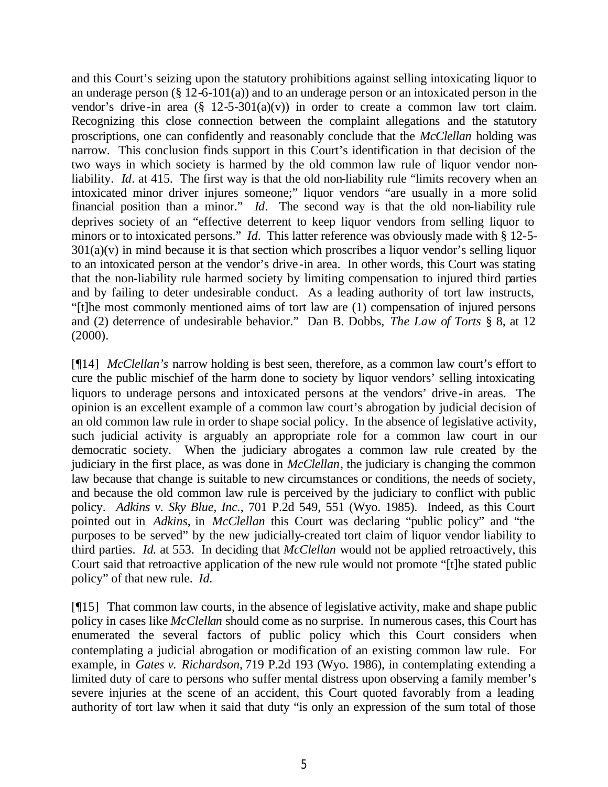and this Court's seizing upon the statutory prohibitions against selling intoxicating liquor to an underage person  $(\S 12-6-101(a))$  and to an underage person or an intoxicated person in the vendor's drive-in area  $(\S 12-5-301(a)(v))$  in order to create a common law tort claim. Recognizing this close connection between the complaint allegations and the statutory proscriptions, one can confidently and reasonably conclude that the *McClellan* holding was narrow. This conclusion finds support in this Court's identification in that decision of the two ways in which society is harmed by the old common law rule of liquor vendor nonliability. *Id.* at 415. The first way is that the old non-liability rule "limits recovery when an intoxicated minor driver injures someone;" liquor vendors "are usually in a more solid financial position than a minor." *Id*. The second way is that the old non-liability rule deprives society of an "effective deterrent to keep liquor vendors from selling liquor to minors or to intoxicated persons." *Id.* This latter reference was obviously made with § 12-5- $301(a)(v)$  in mind because it is that section which proscribes a liquor vendor's selling liquor to an intoxicated person at the vendor's drive-in area. In other words, this Court was stating that the non-liability rule harmed society by limiting compensation to injured third parties and by failing to deter undesirable conduct. As a leading authority of tort law instructs, "[t]he most commonly mentioned aims of tort law are (1) compensation of injured persons and (2) deterrence of undesirable behavior." Dan B. Dobbs, *The Law of Torts* § 8, at 12  $(2000).$ 

[¶14] *McClellan's* narrow holding is best seen, therefore, as a common law court's effort to cure the public mischief of the harm done to society by liquor vendors' selling intoxicating liquors to underage persons and intoxicated persons at the vendors' drive-in areas. The opinion is an excellent example of a common law court's abrogation by judicial decision of an old common law rule in order to shape social policy. In the absence of legislative activity, such judicial activity is arguably an appropriate role for a common law court in our democratic society. When the judiciary abrogates a common law rule created by the judiciary in the first place, as was done in *McClellan*, the judiciary is changing the common law because that change is suitable to new circumstances or conditions, the needs of society, and because the old common law rule is perceived by the judiciary to conflict with public policy. *Adkins v. Sky Blue, Inc.*, 701 P.2d 549, 551 (Wyo. 1985). Indeed, as this Court pointed out in *Adkins*, in *McClellan* this Court was declaring "public policy" and "the purposes to be served" by the new judicially-created tort claim of liquor vendor liability to third parties. *Id.* at 553. In deciding that *McClellan* would not be applied retroactively, this Court said that retroactive application of the new rule would not promote "[t]he stated public policy" of that new rule. *Id.*

[¶15] That common law courts, in the absence of legislative activity, make and shape public policy in cases like *McClellan* should come as no surprise. In numerous cases, this Court has enumerated the several factors of public policy which this Court considers when contemplating a judicial abrogation or modification of an existing common law rule. For example, in *Gates v. Richardson,* 719 P.2d 193 (Wyo. 1986), in contemplating extending a limited duty of care to persons who suffer mental distress upon observing a family member's severe injuries at the scene of an accident, this Court quoted favorably from a leading authority of tort law when it said that duty "is only an expression of the sum total of those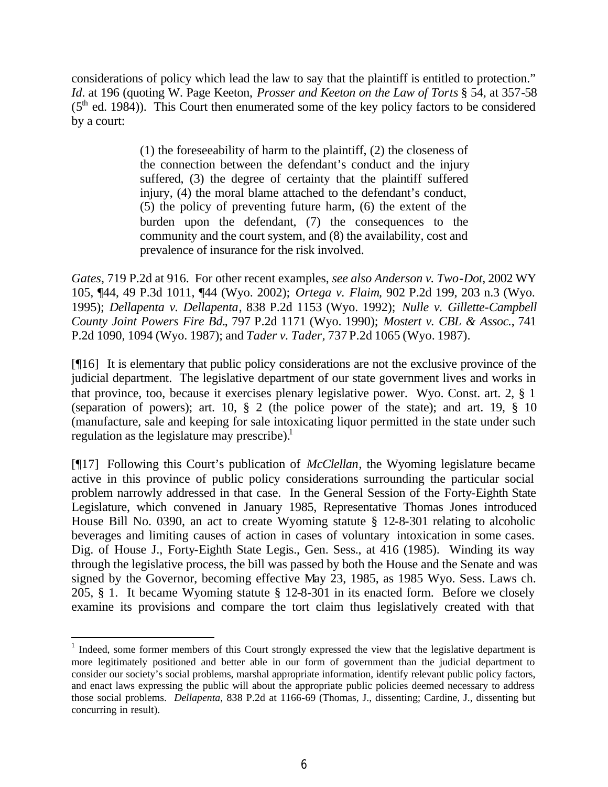considerations of policy which lead the law to say that the plaintiff is entitled to protection." *Id.* at 196 (quoting W. Page Keeton, *Prosser and Keeton on the Law of Torts* § 54, at 357-58  $(5<sup>th</sup>$  ed. 1984)). This Court then enumerated some of the key policy factors to be considered by a court:

> (1) the foreseeability of harm to the plaintiff, (2) the closeness of the connection between the defendant's conduct and the injury suffered, (3) the degree of certainty that the plaintiff suffered injury, (4) the moral blame attached to the defendant's conduct, (5) the policy of preventing future harm, (6) the extent of the burden upon the defendant, (7) the consequences to the community and the court system, and (8) the availability, cost and prevalence of insurance for the risk involved.

*Gates*, 719 P.2d at 916. For other recent examples, *see also Anderson v. Two-Dot*, 2002 WY 105, ¶44, 49 P.3d 1011, ¶44 (Wyo. 2002); *Ortega v. Flaim,* 902 P.2d 199, 203 n.3 (Wyo. 1995); *Dellapenta v. Dellapenta*, 838 P.2d 1153 (Wyo. 1992); *Nulle v. Gillette-Campbell County Joint Powers Fire Bd.*, 797 P.2d 1171 (Wyo. 1990); *Mostert v. CBL & Assoc.*, 741 P.2d 1090, 1094 (Wyo. 1987); and *Tader v. Tader,* 737 P.2d 1065 (Wyo. 1987).

[¶16] It is elementary that public policy considerations are not the exclusive province of the judicial department. The legislative department of our state government lives and works in that province, too, because it exercises plenary legislative power. Wyo. Const. art. 2, § 1 (separation of powers); art. 10, § 2 (the police power of the state); and art. 19, § 10 (manufacture, sale and keeping for sale intoxicating liquor permitted in the state under such regulation as the legislature may prescribe). $1$ 

[¶17] Following this Court's publication of *McClellan*, the Wyoming legislature became active in this province of public policy considerations surrounding the particular social problem narrowly addressed in that case. In the General Session of the Forty-Eighth State Legislature, which convened in January 1985, Representative Thomas Jones introduced House Bill No. 0390, an act to create Wyoming statute § 12-8-301 relating to alcoholic beverages and limiting causes of action in cases of voluntary intoxication in some cases. Dig. of House J., Forty-Eighth State Legis., Gen. Sess., at 416 (1985). Winding its way through the legislative process, the bill was passed by both the House and the Senate and was signed by the Governor, becoming effective May 23, 1985, as 1985 Wyo. Sess. Laws ch. 205, § 1. It became Wyoming statute § 12-8-301 in its enacted form. Before we closely examine its provisions and compare the tort claim thus legislatively created with that

<sup>&</sup>lt;sup>1</sup> Indeed, some former members of this Court strongly expressed the view that the legislative department is more legitimately positioned and better able in our form of government than the judicial department to consider our society's social problems, marshal appropriate information, identify relevant public policy factors, and enact laws expressing the public will about the appropriate public policies deemed necessary to address those social problems. *Dellapenta*, 838 P.2d at 1166-69 (Thomas, J., dissenting; Cardine, J., dissenting but concurring in result).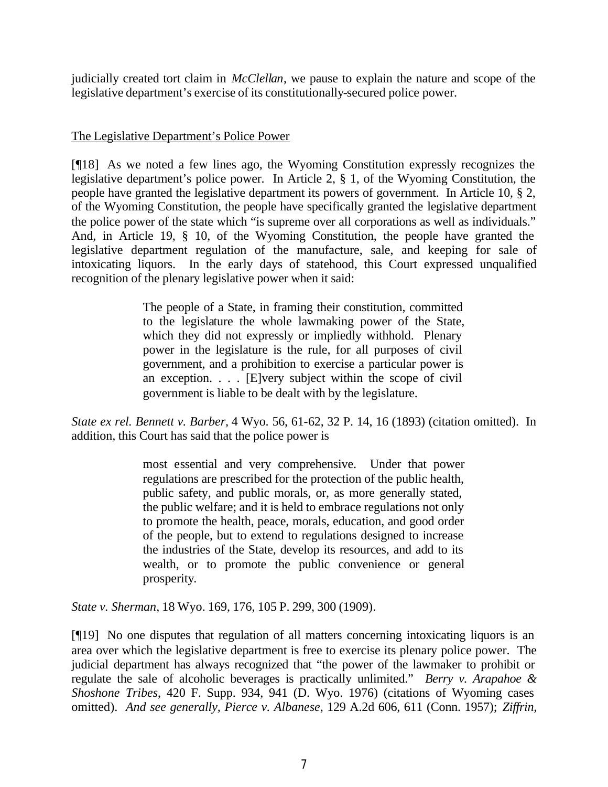judicially created tort claim in *McClellan*, we pause to explain the nature and scope of the legislative department's exercise of its constitutionally-secured police power.

### The Legislative Department's Police Power

[¶18] As we noted a few lines ago, the Wyoming Constitution expressly recognizes the legislative department's police power. In Article 2, § 1, of the Wyoming Constitution, the people have granted the legislative department its powers of government. In Article 10, § 2, of the Wyoming Constitution, the people have specifically granted the legislative department the police power of the state which "is supreme over all corporations as well as individuals." And, in Article 19, § 10, of the Wyoming Constitution, the people have granted the legislative department regulation of the manufacture, sale, and keeping for sale of intoxicating liquors. In the early days of statehood, this Court expressed unqualified recognition of the plenary legislative power when it said:

> The people of a State, in framing their constitution, committed to the legislature the whole lawmaking power of the State, which they did not expressly or impliedly withhold. Plenary power in the legislature is the rule, for all purposes of civil government, and a prohibition to exercise a particular power is an exception. . . . [E]very subject within the scope of civil government is liable to be dealt with by the legislature.

*State ex rel. Bennett v. Barber,* 4 Wyo. 56, 61-62, 32 P. 14, 16 (1893) (citation omitted). In addition, this Court has said that the police power is

> most essential and very comprehensive. Under that power regulations are prescribed for the protection of the public health, public safety, and public morals, or, as more generally stated, the public welfare; and it is held to embrace regulations not only to promote the health, peace, morals, education, and good order of the people, but to extend to regulations designed to increase the industries of the State, develop its resources, and add to its wealth, or to promote the public convenience or general prosperity.

*State v. Sherman*, 18 Wyo. 169, 176, 105 P. 299, 300 (1909).

[¶19] No one disputes that regulation of all matters concerning intoxicating liquors is an area over which the legislative department is free to exercise its plenary police power. The judicial department has always recognized that "the power of the lawmaker to prohibit or regulate the sale of alcoholic beverages is practically unlimited." *Berry v. Arapahoe & Shoshone Tribes*, 420 F. Supp. 934, 941 (D. Wyo. 1976) (citations of Wyoming cases omitted). *And see generally, Pierce v. Albanese*, 129 A.2d 606, 611 (Conn. 1957); *Ziffrin,*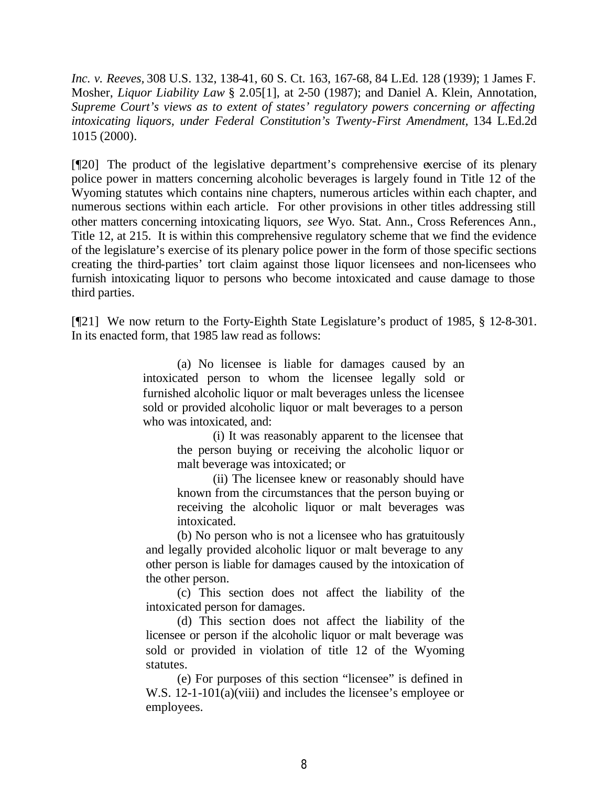*Inc. v. Reeves,* 308 U.S. 132, 138-41, 60 S. Ct. 163, 167-68, 84 L.Ed. 128 (1939); 1 James F. Mosher, *Liquor Liability Law* § 2.05[1], at 2-50 (1987); and Daniel A. Klein, Annotation, *Supreme Court's views as to extent of states' regulatory powers concerning or affecting intoxicating liquors, under Federal Constitution's Twenty-First Amendment,* 134 L.Ed.2d 1015 (2000).

[¶20] The product of the legislative department's comprehensive exercise of its plenary police power in matters concerning alcoholic beverages is largely found in Title 12 of the Wyoming statutes which contains nine chapters, numerous articles within each chapter, and numerous sections within each article. For other provisions in other titles addressing still other matters concerning intoxicating liquors, *see* Wyo. Stat. Ann., Cross References Ann., Title 12, at 215. It is within this comprehensive regulatory scheme that we find the evidence of the legislature's exercise of its plenary police power in the form of those specific sections creating the third-parties' tort claim against those liquor licensees and non-licensees who furnish intoxicating liquor to persons who become intoxicated and cause damage to those third parties.

[¶21] We now return to the Forty-Eighth State Legislature's product of 1985, § 12-8-301. In its enacted form, that 1985 law read as follows:

> (a) No licensee is liable for damages caused by an intoxicated person to whom the licensee legally sold or furnished alcoholic liquor or malt beverages unless the licensee sold or provided alcoholic liquor or malt beverages to a person who was intoxicated, and:

> > (i) It was reasonably apparent to the licensee that the person buying or receiving the alcoholic liquor or malt beverage was intoxicated; or

> > (ii) The licensee knew or reasonably should have known from the circumstances that the person buying or receiving the alcoholic liquor or malt beverages was intoxicated.

(b) No person who is not a licensee who has gratuitously and legally provided alcoholic liquor or malt beverage to any other person is liable for damages caused by the intoxication of the other person.

(c) This section does not affect the liability of the intoxicated person for damages.

(d) This section does not affect the liability of the licensee or person if the alcoholic liquor or malt beverage was sold or provided in violation of title 12 of the Wyoming statutes.

(e) For purposes of this section "licensee" is defined in W.S. 12-1-101(a)(viii) and includes the licensee's employee or employees.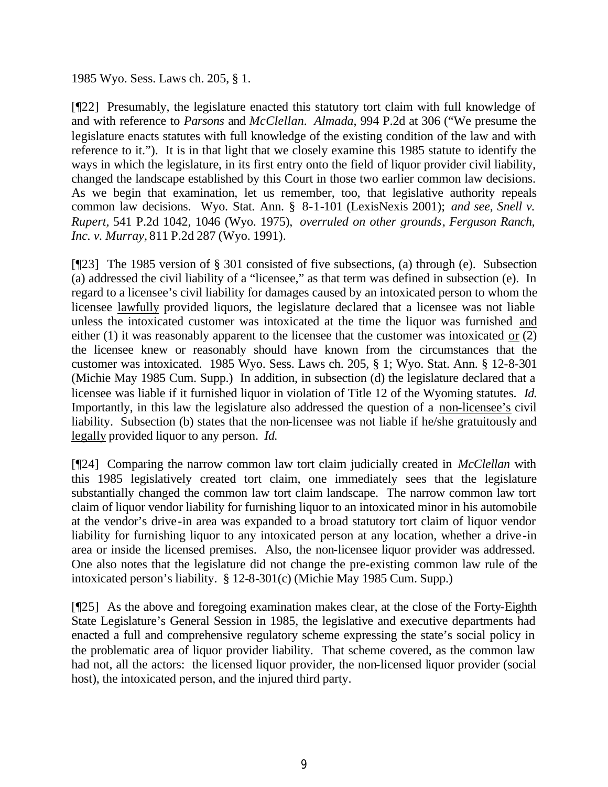#### 1985 Wyo. Sess. Laws ch. 205, § 1.

[¶22] Presumably, the legislature enacted this statutory tort claim with full knowledge of and with reference to *Parsons* and *McClellan. Almada*, 994 P.2d at 306 ("We presume the legislature enacts statutes with full knowledge of the existing condition of the law and with reference to it."). It is in that light that we closely examine this 1985 statute to identify the ways in which the legislature, in its first entry onto the field of liquor provider civil liability, changed the landscape established by this Court in those two earlier common law decisions. As we begin that examination, let us remember, too, that legislative authority repeals common law decisions. Wyo. Stat. Ann. § 8-1-101 (LexisNexis 2001); *and see, Snell v. Rupert,* 541 P.2d 1042, 1046 (Wyo. 1975), *overruled on other grounds*, *Ferguson Ranch, Inc. v. Murray,* 811 P.2d 287 (Wyo. 1991).

[¶23] The 1985 version of § 301 consisted of five subsections, (a) through (e). Subsection (a) addressed the civil liability of a "licensee," as that term was defined in subsection (e). In regard to a licensee's civil liability for damages caused by an intoxicated person to whom the licensee lawfully provided liquors, the legislature declared that a licensee was not liable unless the intoxicated customer was intoxicated at the time the liquor was furnished and either (1) it was reasonably apparent to the licensee that the customer was intoxicated or (2) the licensee knew or reasonably should have known from the circumstances that the customer was intoxicated. 1985 Wyo. Sess. Laws ch. 205, § 1; Wyo. Stat. Ann. § 12-8-301 (Michie May 1985 Cum. Supp.) In addition, in subsection (d) the legislature declared that a licensee was liable if it furnished liquor in violation of Title 12 of the Wyoming statutes. *Id.*  Importantly, in this law the legislature also addressed the question of a non-licensee's civil liability. Subsection (b) states that the non-licensee was not liable if he/she gratuitously and legally provided liquor to any person. *Id.* 

[¶24] Comparing the narrow common law tort claim judicially created in *McClellan* with this 1985 legislatively created tort claim, one immediately sees that the legislature substantially changed the common law tort claim landscape. The narrow common law tort claim of liquor vendor liability for furnishing liquor to an intoxicated minor in his automobile at the vendor's drive-in area was expanded to a broad statutory tort claim of liquor vendor liability for furnishing liquor to any intoxicated person at any location, whether a drive-in area or inside the licensed premises. Also, the non-licensee liquor provider was addressed. One also notes that the legislature did not change the pre-existing common law rule of the intoxicated person's liability. § 12-8-301(c) (Michie May 1985 Cum. Supp.)

[¶25] As the above and foregoing examination makes clear, at the close of the Forty-Eighth State Legislature's General Session in 1985, the legislative and executive departments had enacted a full and comprehensive regulatory scheme expressing the state's social policy in the problematic area of liquor provider liability. That scheme covered, as the common law had not, all the actors: the licensed liquor provider, the non-licensed liquor provider (social host), the intoxicated person, and the injured third party.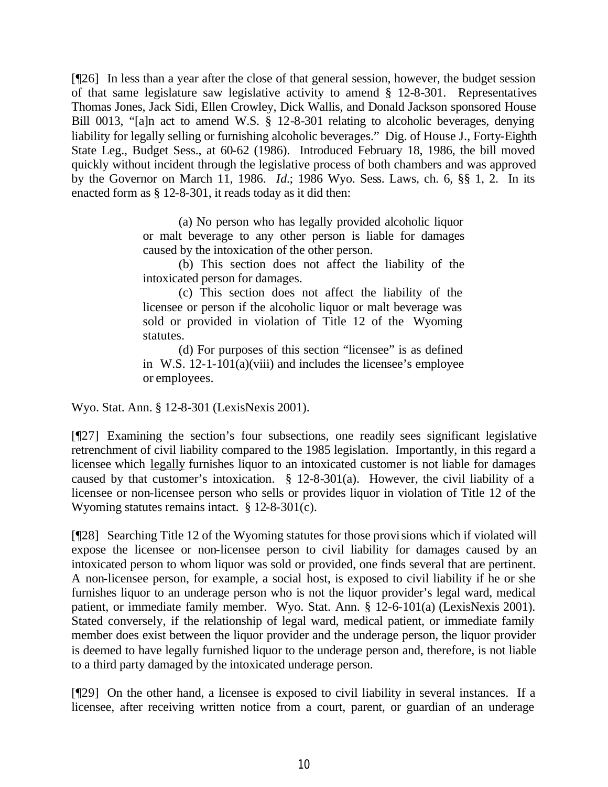[¶26] In less than a year after the close of that general session, however, the budget session of that same legislature saw legislative activity to amend § 12-8-301. Representatives Thomas Jones, Jack Sidi, Ellen Crowley, Dick Wallis, and Donald Jackson sponsored House Bill 0013, "[a]n act to amend W.S. § 12-8-301 relating to alcoholic beverages, denying liability for legally selling or furnishing alcoholic beverages." Dig. of House J., Forty-Eighth State Leg.*,* Budget Sess., at 60-62 (1986). Introduced February 18, 1986, the bill moved quickly without incident through the legislative process of both chambers and was approved by the Governor on March 11, 1986. *Id.*; 1986 Wyo. Sess. Laws, ch. 6, §§ 1, 2. In its enacted form as § 12-8-301, it reads today as it did then:

> (a) No person who has legally provided alcoholic liquor or malt beverage to any other person is liable for damages caused by the intoxication of the other person.

> (b) This section does not affect the liability of the intoxicated person for damages.

> (c) This section does not affect the liability of the licensee or person if the alcoholic liquor or malt beverage was sold or provided in violation of Title 12 of the Wyoming statutes.

> (d) For purposes of this section "licensee" is as defined in W.S. 12-1-101(a)(viii) and includes the licensee's employee or employees.

Wyo. Stat. Ann. § 12-8-301 (LexisNexis 2001).

[¶27] Examining the section's four subsections, one readily sees significant legislative retrenchment of civil liability compared to the 1985 legislation. Importantly, in this regard a licensee which legally furnishes liquor to an intoxicated customer is not liable for damages caused by that customer's intoxication. § 12-8-301(a). However, the civil liability of a licensee or non-licensee person who sells or provides liquor in violation of Title 12 of the Wyoming statutes remains intact. § 12-8-301(c).

[¶28] Searching Title 12 of the Wyoming statutes for those provisions which if violated will expose the licensee or non-licensee person to civil liability for damages caused by an intoxicated person to whom liquor was sold or provided, one finds several that are pertinent. A non-licensee person, for example, a social host, is exposed to civil liability if he or she furnishes liquor to an underage person who is not the liquor provider's legal ward, medical patient, or immediate family member. Wyo. Stat. Ann. § 12-6-101(a) (LexisNexis 2001). Stated conversely, if the relationship of legal ward, medical patient, or immediate family member does exist between the liquor provider and the underage person, the liquor provider is deemed to have legally furnished liquor to the underage person and, therefore, is not liable to a third party damaged by the intoxicated underage person.

[¶29] On the other hand, a licensee is exposed to civil liability in several instances. If a licensee, after receiving written notice from a court, parent, or guardian of an underage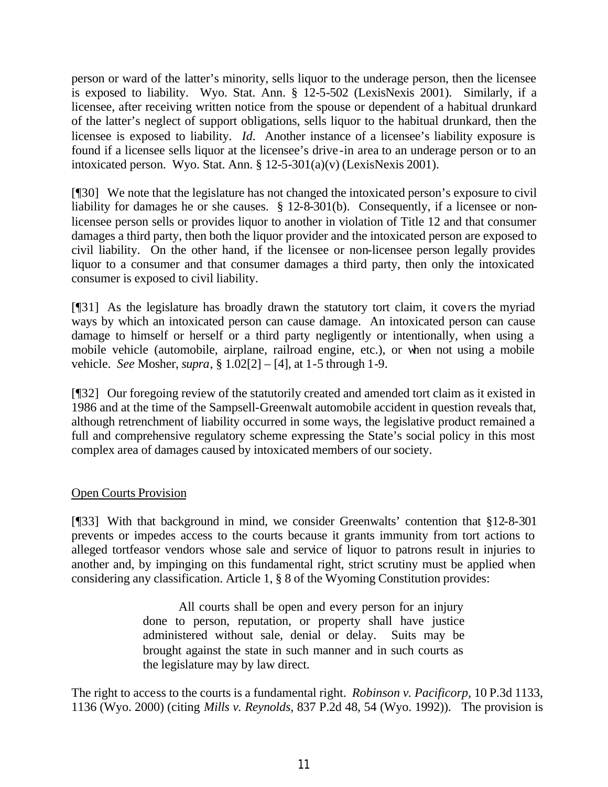person or ward of the latter's minority, sells liquor to the underage person, then the licensee is exposed to liability. Wyo. Stat. Ann. § 12-5-502 (LexisNexis 2001). Similarly, if a licensee, after receiving written notice from the spouse or dependent of a habitual drunkard of the latter's neglect of support obligations, sells liquor to the habitual drunkard, then the licensee is exposed to liability. *Id.* Another instance of a licensee's liability exposure is found if a licensee sells liquor at the licensee's drive -in area to an underage person or to an intoxicated person. Wyo. Stat. Ann.  $\S 12-5-301(a)(v)$  (LexisNexis 2001).

[¶30] We note that the legislature has not changed the intoxicated person's exposure to civil liability for damages he or she causes. § 12-8-301(b). Consequently, if a licensee or nonlicensee person sells or provides liquor to another in violation of Title 12 and that consumer damages a third party, then both the liquor provider and the intoxicated person are exposed to civil liability. On the other hand, if the licensee or non-licensee person legally provides liquor to a consumer and that consumer damages a third party, then only the intoxicated consumer is exposed to civil liability.

[¶31] As the legislature has broadly drawn the statutory tort claim, it covers the myriad ways by which an intoxicated person can cause damage. An intoxicated person can cause damage to himself or herself or a third party negligently or intentionally, when using a mobile vehicle (automobile, airplane, railroad engine, etc.), or when not using a mobile vehicle. *See* Mosher, *supra*, § 1.02[2] – [4], at 1-5 through 1-9.

[¶32] Our foregoing review of the statutorily created and amended tort claim as it existed in 1986 and at the time of the Sampsell-Greenwalt automobile accident in question reveals that, although retrenchment of liability occurred in some ways, the legislative product remained a full and comprehensive regulatory scheme expressing the State's social policy in this most complex area of damages caused by intoxicated members of our society.

#### Open Courts Provision

[¶33] With that background in mind, we consider Greenwalts' contention that §12-8-301 prevents or impedes access to the courts because it grants immunity from tort actions to alleged tortfeasor vendors whose sale and service of liquor to patrons result in injuries to another and, by impinging on this fundamental right, strict scrutiny must be applied when considering any classification. Article 1, § 8 of the Wyoming Constitution provides:

> All courts shall be open and every person for an injury done to person, reputation, or property shall have justice administered without sale, denial or delay. Suits may be brought against the state in such manner and in such courts as the legislature may by law direct.

The right to access to the courts is a fundamental right. *Robinson v. Pacificorp,* 10 P.3d 1133, 1136 (Wyo. 2000) (citing *Mills v. Reynolds,* 837 P.2d 48, 54 (Wyo. 1992)). The provision is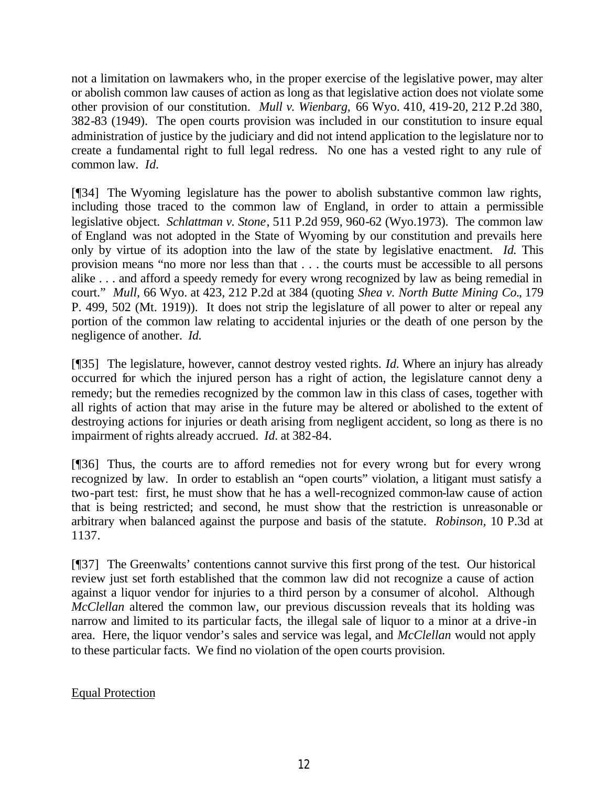not a limitation on lawmakers who, in the proper exercise of the legislative power, may alter or abolish common law causes of action as long as that legislative action does not violate some other provision of our constitution. *Mull v. Wienbarg,* 66 Wyo. 410, 419-20, 212 P.2d 380, 382-83 (1949). The open courts provision was included in our constitution to insure equal administration of justice by the judiciary and did not intend application to the legislature nor to create a fundamental right to full legal redress. No one has a vested right to any rule of common law. *Id.*

[¶34] The Wyoming legislature has the power to abolish substantive common law rights, including those traced to the common law of England, in order to attain a permissible legislative object. *Schlattman v. Stone*, 511 P.2d 959, 960-62 (Wyo.1973). The common law of England was not adopted in the State of Wyoming by our constitution and prevails here only by virtue of its adoption into the law of the state by legislative enactment. *Id.* This provision means "no more nor less than that . . . the courts must be accessible to all persons alike . . . and afford a speedy remedy for every wrong recognized by law as being remedial in court." *Mull,* 66 Wyo. at 423, 212 P.2d at 384 (quoting *Shea v. North Butte Mining Co.*, 179 P. 499, 502 (Mt. 1919)). It does not strip the legislature of all power to alter or repeal any portion of the common law relating to accidental injuries or the death of one person by the negligence of another. *Id.* 

[¶35] The legislature, however, cannot destroy vested rights. *Id.* Where an injury has already occurred for which the injured person has a right of action, the legislature cannot deny a remedy; but the remedies recognized by the common law in this class of cases, together with all rights of action that may arise in the future may be altered or abolished to the extent of destroying actions for injuries or death arising from negligent accident, so long as there is no impairment of rights already accrued. *Id.* at 382-84.

[¶36] Thus, the courts are to afford remedies not for every wrong but for every wrong recognized by law. In order to establish an "open courts" violation, a litigant must satisfy a two-part test: first, he must show that he has a well-recognized common-law cause of action that is being restricted; and second, he must show that the restriction is unreasonable or arbitrary when balanced against the purpose and basis of the statute. *Robinson,* 10 P.3d at 1137.

[¶37] The Greenwalts' contentions cannot survive this first prong of the test. Our historical review just set forth established that the common law did not recognize a cause of action against a liquor vendor for injuries to a third person by a consumer of alcohol. Although *McClellan* altered the common law, our previous discussion reveals that its holding was narrow and limited to its particular facts, the illegal sale of liquor to a minor at a drive-in area. Here, the liquor vendor's sales and service was legal, and *McClellan* would not apply to these particular facts. We find no violation of the open courts provision.

## Equal Protection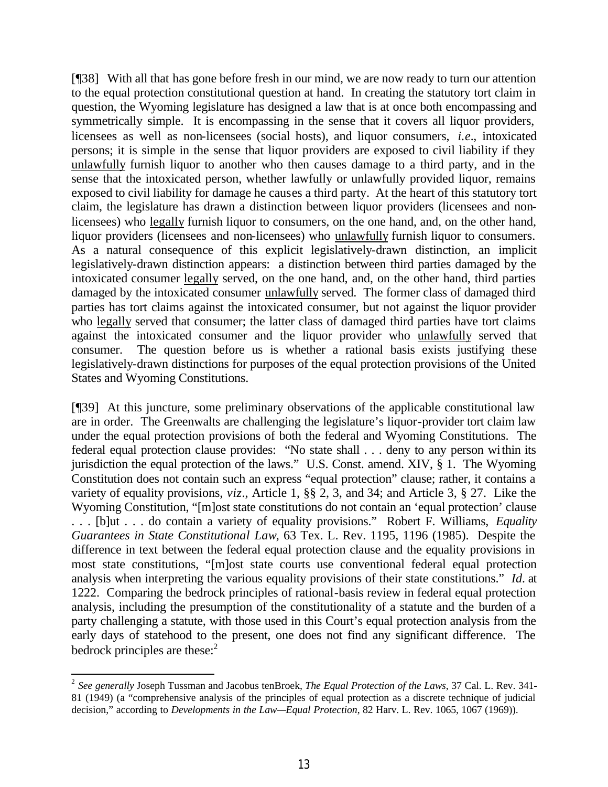[¶38] With all that has gone before fresh in our mind, we are now ready to turn our attention to the equal protection constitutional question at hand. In creating the statutory tort claim in question, the Wyoming legislature has designed a law that is at once both encompassing and symmetrically simple. It is encompassing in the sense that it covers all liquor providers, licensees as well as non-licensees (social hosts), and liquor consumers, *i.e.*, intoxicated persons; it is simple in the sense that liquor providers are exposed to civil liability if they unlawfully furnish liquor to another who then causes damage to a third party, and in the sense that the intoxicated person, whether lawfully or unlawfully provided liquor, remains exposed to civil liability for damage he causes a third party. At the heart of this statutory tort claim, the legislature has drawn a distinction between liquor providers (licensees and nonlicensees) who legally furnish liquor to consumers, on the one hand, and, on the other hand, liquor providers (licensees and non-licensees) who unlawfully furnish liquor to consumers. As a natural consequence of this explicit legislatively-drawn distinction, an implicit legislatively-drawn distinction appears: a distinction between third parties damaged by the intoxicated consumer legally served, on the one hand, and, on the other hand, third parties damaged by the intoxicated consumer unlawfully served. The former class of damaged third parties has tort claims against the intoxicated consumer, but not against the liquor provider who legally served that consumer; the latter class of damaged third parties have tort claims against the intoxicated consumer and the liquor provider who unlawfully served that consumer. The question before us is whether a rational basis exists justifying these legislatively-drawn distinctions for purposes of the equal protection provisions of the United States and Wyoming Constitutions.

[¶39] At this juncture, some preliminary observations of the applicable constitutional law are in order. The Greenwalts are challenging the legislature's liquor-provider tort claim law under the equal protection provisions of both the federal and Wyoming Constitutions. The federal equal protection clause provides: "No state shall . . . deny to any person within its jurisdiction the equal protection of the laws." U.S. Const. amend. XIV, § 1. The Wyoming Constitution does not contain such an express "equal protection" clause; rather, it contains a variety of equality provisions, *viz*., Article 1, §§ 2, 3, and 34; and Article 3, § 27. Like the Wyoming Constitution, "[m]ost state constitutions do not contain an 'equal protection' clause . . . [b]ut . . . do contain a variety of equality provisions." Robert F. Williams, *Equality Guarantees in State Constitutional Law*, 63 Tex. L. Rev. 1195, 1196 (1985). Despite the difference in text between the federal equal protection clause and the equality provisions in most state constitutions, "[m]ost state courts use conventional federal equal protection analysis when interpreting the various equality provisions of their state constitutions." *Id.* at 1222. Comparing the bedrock principles of rational-basis review in federal equal protection analysis, including the presumption of the constitutionality of a statute and the burden of a party challenging a statute, with those used in this Court's equal protection analysis from the early days of statehood to the present, one does not find any significant difference. The bedrock principles are these: $<sup>2</sup>$ </sup>

 2 *See generally* Joseph Tussman and Jacobus tenBroek, *The Equal Protection of the Laws*, 37 Cal. L. Rev. 341- 81 (1949) (a "comprehensive analysis of the principles of equal protection as a discrete technique of judicial decision," according to *Developments in the Law—Equal Protection*, 82 Harv. L. Rev. 1065, 1067 (1969)).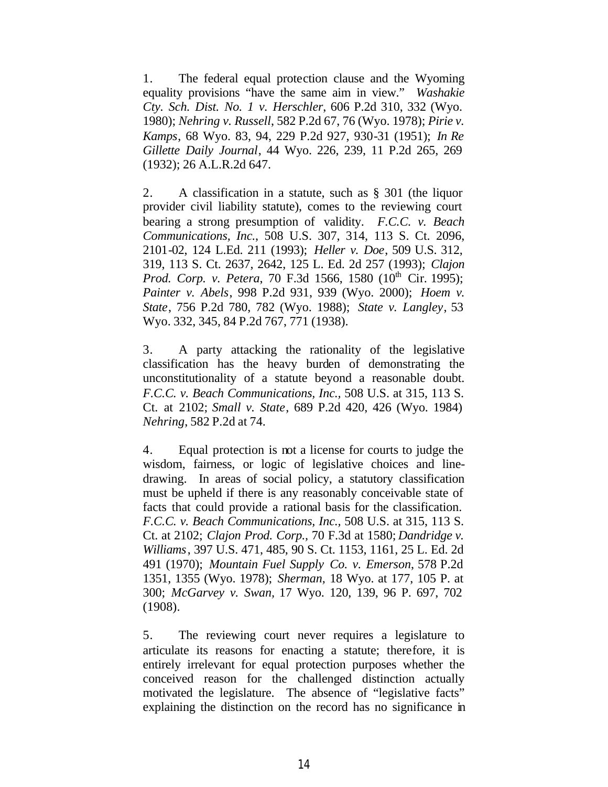1. The federal equal protection clause and the Wyoming equality provisions "have the same aim in view." *Washakie Cty. Sch. Dist. No. 1 v. Herschler*, 606 P.2d 310, 332 (Wyo. 1980); *Nehring v. Russell*, 582 P.2d 67, 76 (Wyo. 1978); *Pirie v. Kamps*, 68 Wyo. 83, 94, 229 P.2d 927, 930-31 (1951); *In Re Gillette Daily Journal*, 44 Wyo. 226, 239, 11 P.2d 265, 269 (1932); 26 A.L.R.2d 647.

2. A classification in a statute, such as § 301 (the liquor provider civil liability statute), comes to the reviewing court bearing a strong presumption of validity. *F.C.C. v. Beach Communications, Inc.*, 508 U.S. 307, 314, 113 S. Ct. 2096, 2101-02, 124 L.Ed. 211 (1993); *Heller v. Doe*, 509 U.S. 312, 319, 113 S. Ct. 2637, 2642, 125 L. Ed. 2d 257 (1993); *Clajon Prod. Corp. v. Petera, 70 F.3d 1566, 1580 (10<sup>th</sup> Cir. 1995); Painter v. Abels*, 998 P.2d 931, 939 (Wyo. 2000); *Hoem v. State*, 756 P.2d 780, 782 (Wyo. 1988); *State v. Langley*, 53 Wyo. 332, 345, 84 P.2d 767, 771 (1938).

3. A party attacking the rationality of the legislative classification has the heavy burden of demonstrating the unconstitutionality of a statute beyond a reasonable doubt. *F.C.C. v. Beach Communications, Inc.,* 508 U.S. at 315, 113 S. Ct. at 2102; *Small v. State*, 689 P.2d 420, 426 (Wyo. 1984) *Nehring*, 582 P.2d at 74.

4. Equal protection is not a license for courts to judge the wisdom, fairness, or logic of legislative choices and linedrawing. In areas of social policy, a statutory classification must be upheld if there is any reasonably conceivable state of facts that could provide a rational basis for the classification. *F.C.C. v. Beach Communications, Inc.,* 508 U.S. at 315, 113 S. Ct. at 2102; *Clajon Prod. Corp.,* 70 F.3d at 1580; *Dandridge v. Williams*, 397 U.S. 471, 485, 90 S. Ct. 1153, 1161, 25 L. Ed. 2d 491 (1970); *Mountain Fuel Supply Co. v. Emerson*, 578 P.2d 1351, 1355 (Wyo. 1978); *Sherman,* 18 Wyo. at 177, 105 P. at 300; *McGarvey v. Swan,* 17 Wyo. 120, 139, 96 P. 697, 702 (1908).

5. The reviewing court never requires a legislature to articulate its reasons for enacting a statute; therefore, it is entirely irrelevant for equal protection purposes whether the conceived reason for the challenged distinction actually motivated the legislature. The absence of "legislative facts" explaining the distinction on the record has no significance in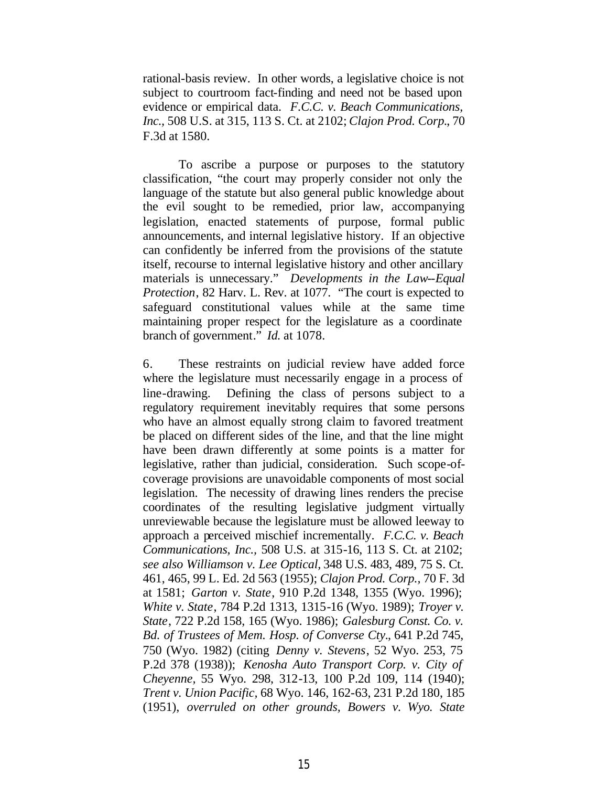rational-basis review. In other words, a legislative choice is not subject to courtroom fact-finding and need not be based upon evidence or empirical data. *F.C.C. v. Beach Communications, Inc.,* 508 U.S. at 315, 113 S. Ct. at 2102; *Clajon Prod. Corp.*, 70 F.3d at 1580.

To ascribe a purpose or purposes to the statutory classification, "the court may properly consider not only the language of the statute but also general public knowledge about the evil sought to be remedied, prior law, accompanying legislation, enacted statements of purpose, formal public announcements, and internal legislative history. If an objective can confidently be inferred from the provisions of the statute itself, recourse to internal legislative history and other ancillary materials is unnecessary." *Developments in the Law--Equal Protection*, 82 Harv. L. Rev. at 1077. "The court is expected to safeguard constitutional values while at the same time maintaining proper respect for the legislature as a coordinate branch of government." *Id.* at 1078.

6. These restraints on judicial review have added force where the legislature must necessarily engage in a process of line-drawing. Defining the class of persons subject to a regulatory requirement inevitably requires that some persons who have an almost equally strong claim to favored treatment be placed on different sides of the line, and that the line might have been drawn differently at some points is a matter for legislative, rather than judicial, consideration. Such scope-ofcoverage provisions are unavoidable components of most social legislation. The necessity of drawing lines renders the precise coordinates of the resulting legislative judgment virtually unreviewable because the legislature must be allowed leeway to approach a perceived mischief incrementally. *F.C.C. v. Beach Communications, Inc.,* 508 U.S. at 315-16, 113 S. Ct. at 2102; *see also Williamson v. Lee Optical,* 348 U.S. 483, 489, 75 S. Ct. 461, 465, 99 L. Ed. 2d 563 (1955); *Clajon Prod. Corp.,* 70 F. 3d at 1581; *Garton v. State*, 910 P.2d 1348, 1355 (Wyo. 1996); *White v. State*, 784 P.2d 1313, 1315-16 (Wyo. 1989); *Troyer v. State*, 722 P.2d 158, 165 (Wyo. 1986); *Galesburg Const. Co. v. Bd. of Trustees of Mem. Hosp. of Converse Cty.*, 641 P.2d 745, 750 (Wyo. 1982) (citing *Denny v. Stevens*, 52 Wyo. 253, 75 P.2d 378 (1938)); *Kenosha Auto Transport Corp. v. City of Cheyenne,* 55 Wyo. 298, 312-13, 100 P.2d 109, 114 (1940); *Trent v. Union Pacific,* 68 Wyo. 146, 162-63, 231 P.2d 180, 185 (1951), *overruled on other grounds, Bowers v. Wyo. State*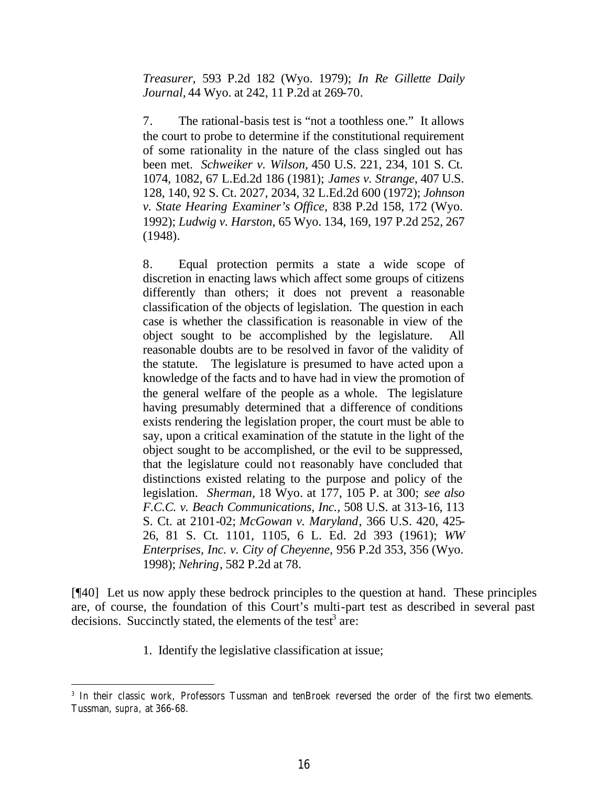*Treasurer,* 593 P.2d 182 (Wyo. 1979); *In Re Gillette Daily Journal,* 44 Wyo. at 242, 11 P.2d at 269-70.

7. The rational-basis test is "not a toothless one." It allows the court to probe to determine if the constitutional requirement of some rationality in the nature of the class singled out has been met. *Schweiker v. Wilson,* 450 U.S. 221, 234, 101 S. Ct. 1074, 1082, 67 L.Ed.2d 186 (1981); *James v. Strange*, 407 U.S. 128, 140, 92 S. Ct. 2027, 2034, 32 L.Ed.2d 600 (1972); *Johnson v. State Hearing Examiner's Office,* 838 P.2d 158, 172 (Wyo. 1992); *Ludwig v. Harston,* 65 Wyo. 134, 169, 197 P.2d 252, 267 (1948).

8. Equal protection permits a state a wide scope of discretion in enacting laws which affect some groups of citizens differently than others; it does not prevent a reasonable classification of the objects of legislation. The question in each case is whether the classification is reasonable in view of the object sought to be accomplished by the legislature. All reasonable doubts are to be resolved in favor of the validity of the statute. The legislature is presumed to have acted upon a knowledge of the facts and to have had in view the promotion of the general welfare of the people as a whole. The legislature having presumably determined that a difference of conditions exists rendering the legislation proper, the court must be able to say, upon a critical examination of the statute in the light of the object sought to be accomplished, or the evil to be suppressed, that the legislature could not reasonably have concluded that distinctions existed relating to the purpose and policy of the legislation. *Sherman,* 18 Wyo. at 177, 105 P. at 300; *see also F.C.C. v. Beach Communications, Inc.,* 508 U.S. at 313-16, 113 S. Ct. at 2101-02; *McGowan v. Maryland*, 366 U.S. 420, 425- 26, 81 S. Ct. 1101, 1105, 6 L. Ed. 2d 393 (1961); *WW Enterprises, Inc. v. City of Cheyenne,* 956 P.2d 353, 356 (Wyo. 1998); *Nehring*, 582 P.2d at 78.

[¶40] Let us now apply these bedrock principles to the question at hand. These principles are, of course, the foundation of this Court's multi-part test as described in several past decisions. Succinctly stated, the elements of the test<sup>3</sup> are:

1. Identify the legislative classification at issue;

<sup>3</sup> In their classic work, Professors Tussman and tenBroek reversed the order of the first two elements. Tussman, *supra,* at 366-68.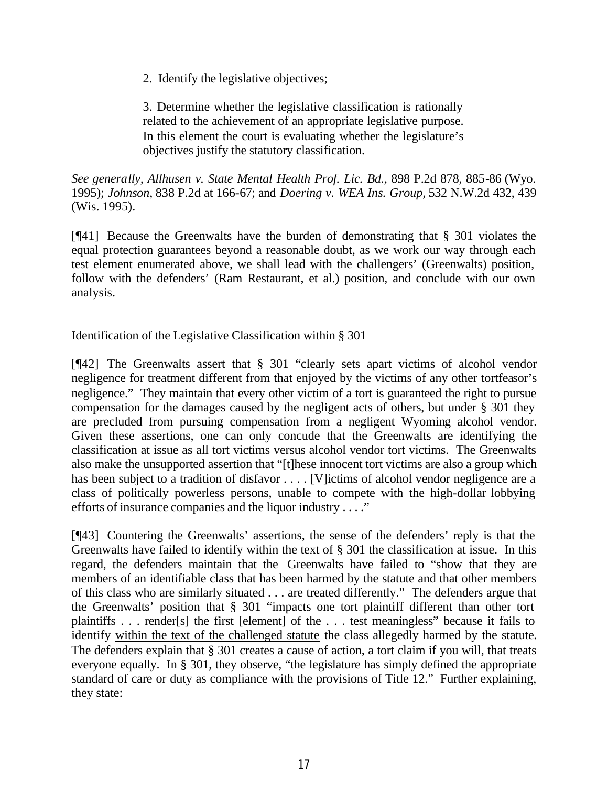2. Identify the legislative objectives;

3. Determine whether the legislative classification is rationally related to the achievement of an appropriate legislative purpose. In this element the court is evaluating whether the legislature's objectives justify the statutory classification.

*See generally, Allhusen v. State Mental Health Prof. Lic. Bd.,* 898 P.2d 878, 885-86 (Wyo. 1995); *Johnson,* 838 P.2d at 166-67; and *Doering v. WEA Ins. Group,* 532 N.W.2d 432, 439 (Wis. 1995).

[¶41] Because the Greenwalts have the burden of demonstrating that § 301 violates the equal protection guarantees beyond a reasonable doubt, as we work our way through each test element enumerated above, we shall lead with the challengers' (Greenwalts) position, follow with the defenders' (Ram Restaurant, et al.) position, and conclude with our own analysis.

### Identification of the Legislative Classification within § 301

[¶42] The Greenwalts assert that § 301 "clearly sets apart victims of alcohol vendor negligence for treatment different from that enjoyed by the victims of any other tortfeasor's negligence." They maintain that every other victim of a tort is guaranteed the right to pursue compensation for the damages caused by the negligent acts of others, but under § 301 they are precluded from pursuing compensation from a negligent Wyoming alcohol vendor. Given these assertions, one can only concude that the Greenwalts are identifying the classification at issue as all tort victims versus alcohol vendor tort victims. The Greenwalts also make the unsupported assertion that "[t]hese innocent tort victims are also a group which has been subject to a tradition of disfavor . . . . [V] ictims of alcohol vendor negligence are a class of politically powerless persons, unable to compete with the high-dollar lobbying efforts of insurance companies and the liquor industry . . . ."

[¶43] Countering the Greenwalts' assertions, the sense of the defenders' reply is that the Greenwalts have failed to identify within the text of § 301 the classification at issue. In this regard, the defenders maintain that the Greenwalts have failed to "show that they are members of an identifiable class that has been harmed by the statute and that other members of this class who are similarly situated . . . are treated differently." The defenders argue that the Greenwalts' position that § 301 "impacts one tort plaintiff different than other tort plaintiffs . . . render[s] the first [element] of the . . . test meaningless" because it fails to identify within the text of the challenged statute the class allegedly harmed by the statute. The defenders explain that § 301 creates a cause of action, a tort claim if you will, that treats everyone equally. In § 301, they observe, "the legislature has simply defined the appropriate standard of care or duty as compliance with the provisions of Title 12." Further explaining, they state: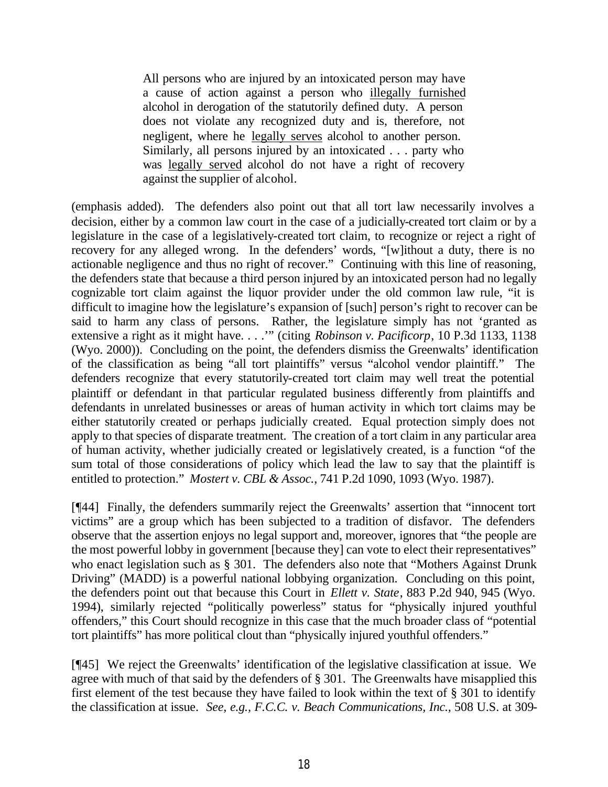All persons who are injured by an intoxicated person may have a cause of action against a person who illegally furnished alcohol in derogation of the statutorily defined duty. A person does not violate any recognized duty and is, therefore, not negligent, where he legally serves alcohol to another person. Similarly, all persons injured by an intoxicated . . . party who was legally served alcohol do not have a right of recovery against the supplier of alcohol.

(emphasis added). The defenders also point out that all tort law necessarily involves a decision, either by a common law court in the case of a judicially-created tort claim or by a legislature in the case of a legislatively-created tort claim, to recognize or reject a right of recovery for any alleged wrong. In the defenders' words, "[w]ithout a duty, there is no actionable negligence and thus no right of recover." Continuing with this line of reasoning, the defenders state that because a third person injured by an intoxicated person had no legally cognizable tort claim against the liquor provider under the old common law rule, "it is difficult to imagine how the legislature's expansion of [such] person's right to recover can be said to harm any class of persons. Rather, the legislature simply has not 'granted as extensive a right as it might have. . . .'" (citing *Robinson v. Pacificorp*, 10 P.3d 1133, 1138 (Wyo. 2000)). Concluding on the point, the defenders dismiss the Greenwalts' identification of the classification as being "all tort plaintiffs" versus "alcohol vendor plaintiff." The defenders recognize that every statutorily-created tort claim may well treat the potential plaintiff or defendant in that particular regulated business differently from plaintiffs and defendants in unrelated businesses or areas of human activity in which tort claims may be either statutorily created or perhaps judicially created. Equal protection simply does not apply to that species of disparate treatment. The creation of a tort claim in any particular area of human activity, whether judicially created or legislatively created, is a function "of the sum total of those considerations of policy which lead the law to say that the plaintiff is entitled to protection." *Mostert v. CBL & Assoc.*, 741 P.2d 1090, 1093 (Wyo. 1987).

[¶44] Finally, the defenders summarily reject the Greenwalts' assertion that "innocent tort victims" are a group which has been subjected to a tradition of disfavor. The defenders observe that the assertion enjoys no legal support and, moreover, ignores that "the people are the most powerful lobby in government [because they] can vote to elect their representatives" who enact legislation such as § 301. The defenders also note that "Mothers Against Drunk" Driving" (MADD) is a powerful national lobbying organization. Concluding on this point, the defenders point out that because this Court in *Ellett v. State*, 883 P.2d 940, 945 (Wyo. 1994), similarly rejected "politically powerless" status for "physically injured youthful offenders," this Court should recognize in this case that the much broader class of "potential tort plaintiffs" has more political clout than "physically injured youthful offenders."

[¶45] We reject the Greenwalts' identification of the legislative classification at issue. We agree with much of that said by the defenders of § 301. The Greenwalts have misapplied this first element of the test because they have failed to look within the text of § 301 to identify the classification at issue. *See, e.g., F.C.C. v. Beach Communications, Inc.,* 508 U.S. at 309-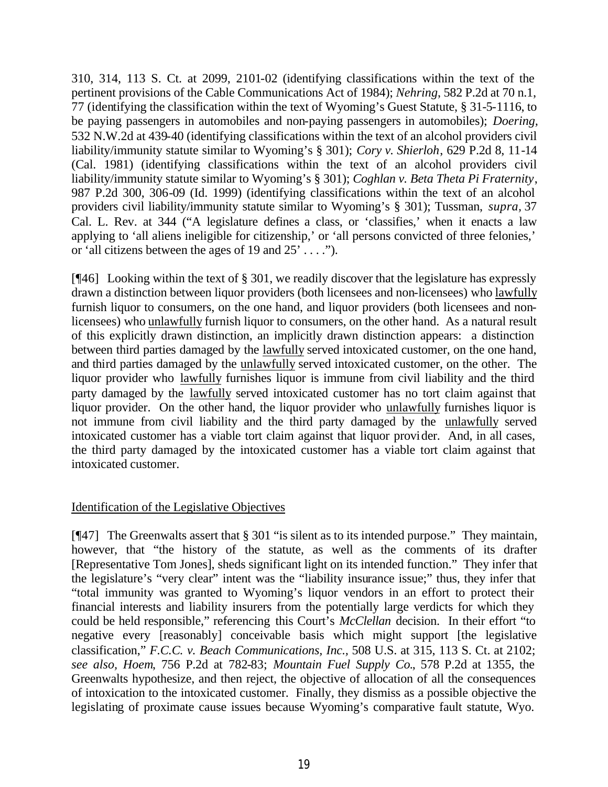310, 314, 113 S. Ct. at 2099, 2101-02 (identifying classifications within the text of the pertinent provisions of the Cable Communications Act of 1984); *Nehring*, 582 P.2d at 70 n.1, 77 (identifying the classification within the text of Wyoming's Guest Statute, § 31-5-1116, to be paying passengers in automobiles and non-paying passengers in automobiles); *Doering,* 532 N.W.2d at 439-40 (identifying classifications within the text of an alcohol providers civil liability/immunity statute similar to Wyoming's § 301); *Cory v. Shierloh*, 629 P.2d 8, 11-14 (Cal. 1981) (identifying classifications within the text of an alcohol providers civil liability/immunity statute similar to Wyoming's § 301); *Coghlan v. Beta Theta Pi Fraternity*, 987 P.2d 300, 306-09 (Id. 1999) (identifying classifications within the text of an alcohol providers civil liability/immunity statute similar to Wyoming's § 301); Tussman, *supra,* 37 Cal. L. Rev. at 344 ("A legislature defines a class, or 'classifies,' when it enacts a law applying to 'all aliens ineligible for citizenship,' or 'all persons convicted of three felonies,' or 'all citizens between the ages of 19 and 25' . . . .").

[¶46] Looking within the text of § 301, we readily discover that the legislature has expressly drawn a distinction between liquor providers (both licensees and non-licensees) who lawfully furnish liquor to consumers, on the one hand, and liquor providers (both licensees and nonlicensees) who unlawfully furnish liquor to consumers, on the other hand. As a natural result of this explicitly drawn distinction, an implicitly drawn distinction appears: a distinction between third parties damaged by the lawfully served intoxicated customer, on the one hand, and third parties damaged by the unlawfully served intoxicated customer, on the other. The liquor provider who lawfully furnishes liquor is immune from civil liability and the third party damaged by the lawfully served intoxicated customer has no tort claim against that liquor provider. On the other hand, the liquor provider who unlawfully furnishes liquor is not immune from civil liability and the third party damaged by the unlawfully served intoxicated customer has a viable tort claim against that liquor provider. And, in all cases, the third party damaged by the intoxicated customer has a viable tort claim against that intoxicated customer.

## Identification of the Legislative Objectives

[¶47] The Greenwalts assert that § 301 "is silent as to its intended purpose." They maintain, however, that "the history of the statute, as well as the comments of its drafter [Representative Tom Jones], sheds significant light on its intended function." They infer that the legislature's "very clear" intent was the "liability insurance issue;" thus, they infer that "total immunity was granted to Wyoming's liquor vendors in an effort to protect their financial interests and liability insurers from the potentially large verdicts for which they could be held responsible," referencing this Court's *McClellan* decision. In their effort "to negative every [reasonably] conceivable basis which might support [the legislative classification," *F.C.C. v. Beach Communications, Inc.,* 508 U.S. at 315, 113 S. Ct. at 2102; *see also, Hoem*, 756 P.2d at 782-83; *Mountain Fuel Supply Co.*, 578 P.2d at 1355, the Greenwalts hypothesize, and then reject, the objective of allocation of all the consequences of intoxication to the intoxicated customer. Finally, they dismiss as a possible objective the legislating of proximate cause issues because Wyoming's comparative fault statute, Wyo.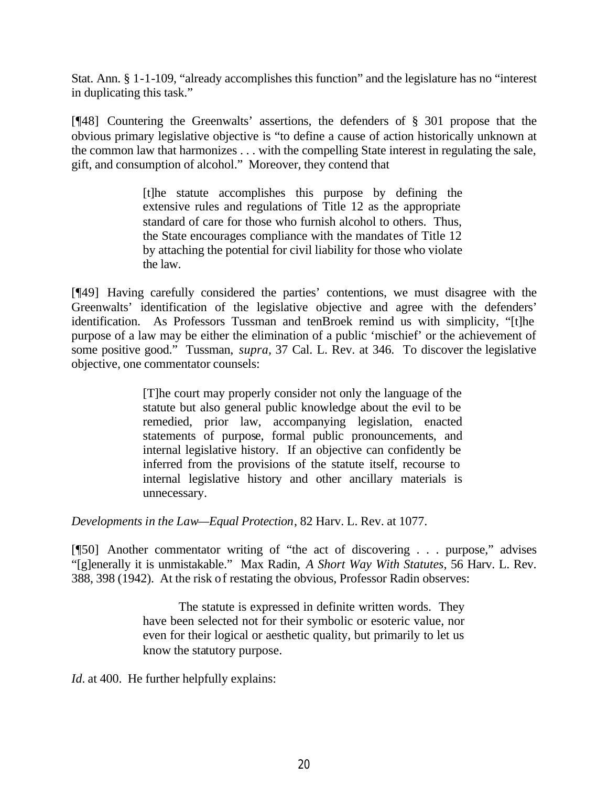Stat. Ann. § 1-1-109, "already accomplishes this function" and the legislature has no "interest in duplicating this task."

[¶48] Countering the Greenwalts' assertions, the defenders of § 301 propose that the obvious primary legislative objective is "to define a cause of action historically unknown at the common law that harmonizes . . . with the compelling State interest in regulating the sale, gift, and consumption of alcohol." Moreover, they contend that

> [t]he statute accomplishes this purpose by defining the extensive rules and regulations of Title 12 as the appropriate standard of care for those who furnish alcohol to others. Thus, the State encourages compliance with the mandates of Title 12 by attaching the potential for civil liability for those who violate the law.

[¶49] Having carefully considered the parties' contentions, we must disagree with the Greenwalts' identification of the legislative objective and agree with the defenders' identification. As Professors Tussman and tenBroek remind us with simplicity, "[t]he purpose of a law may be either the elimination of a public 'mischief' or the achievement of some positive good." Tussman, *supra,* 37 Cal. L. Rev. at 346. To discover the legislative objective, one commentator counsels:

> [T]he court may properly consider not only the language of the statute but also general public knowledge about the evil to be remedied, prior law, accompanying legislation, enacted statements of purpose, formal public pronouncements, and internal legislative history. If an objective can confidently be inferred from the provisions of the statute itself, recourse to internal legislative history and other ancillary materials is unnecessary.

*Developments in the Law—Equal Protection*, 82 Harv. L. Rev. at 1077.

[¶50] Another commentator writing of "the act of discovering . . . purpose," advises "[g]enerally it is unmistakable." Max Radin, *A Short Way With Statutes*, 56 Harv. L. Rev. 388, 398 (1942). At the risk of restating the obvious, Professor Radin observes:

> The statute is expressed in definite written words. They have been selected not for their symbolic or esoteric value, nor even for their logical or aesthetic quality, but primarily to let us know the statutory purpose.

*Id.* at 400. He further helpfully explains: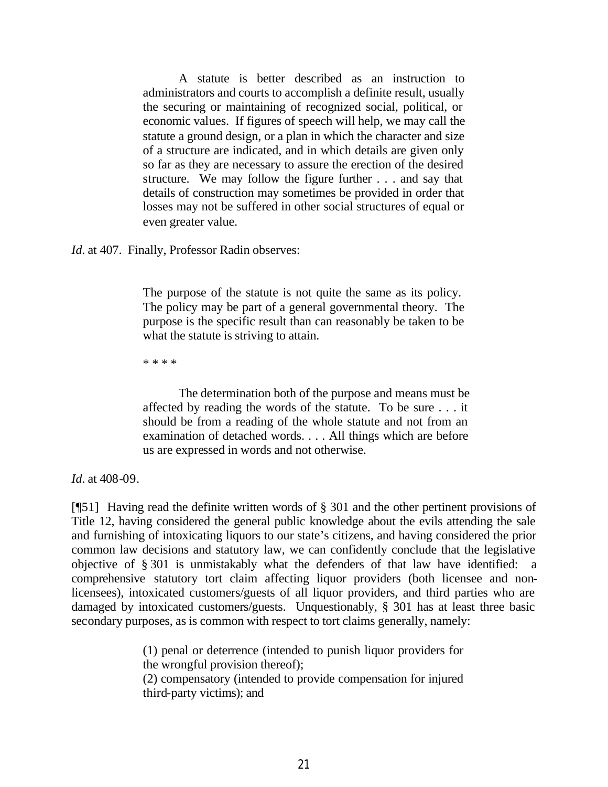A statute is better described as an instruction to administrators and courts to accomplish a definite result, usually the securing or maintaining of recognized social, political, or economic values. If figures of speech will help, we may call the statute a ground design, or a plan in which the character and size of a structure are indicated, and in which details are given only so far as they are necessary to assure the erection of the desired structure. We may follow the figure further . . . and say that details of construction may sometimes be provided in order that losses may not be suffered in other social structures of equal or even greater value.

*Id.* at 407. Finally, Professor Radin observes:

The purpose of the statute is not quite the same as its policy. The policy may be part of a general governmental theory. The purpose is the specific result than can reasonably be taken to be what the statute is striving to attain.

\* \* \* \*

The determination both of the purpose and means must be affected by reading the words of the statute. To be sure . . . it should be from a reading of the whole statute and not from an examination of detached words. . . . All things which are before us are expressed in words and not otherwise.

*Id.* at 408-09.

[¶51] Having read the definite written words of § 301 and the other pertinent provisions of Title 12, having considered the general public knowledge about the evils attending the sale and furnishing of intoxicating liquors to our state's citizens, and having considered the prior common law decisions and statutory law, we can confidently conclude that the legislative objective of § 301 is unmistakably what the defenders of that law have identified: a comprehensive statutory tort claim affecting liquor providers (both licensee and nonlicensees), intoxicated customers/guests of all liquor providers, and third parties who are damaged by intoxicated customers/guests. Unquestionably, § 301 has at least three basic secondary purposes, as is common with respect to tort claims generally, namely:

> (1) penal or deterrence (intended to punish liquor providers for the wrongful provision thereof); (2) compensatory (intended to provide compensation for injured third-party victims); and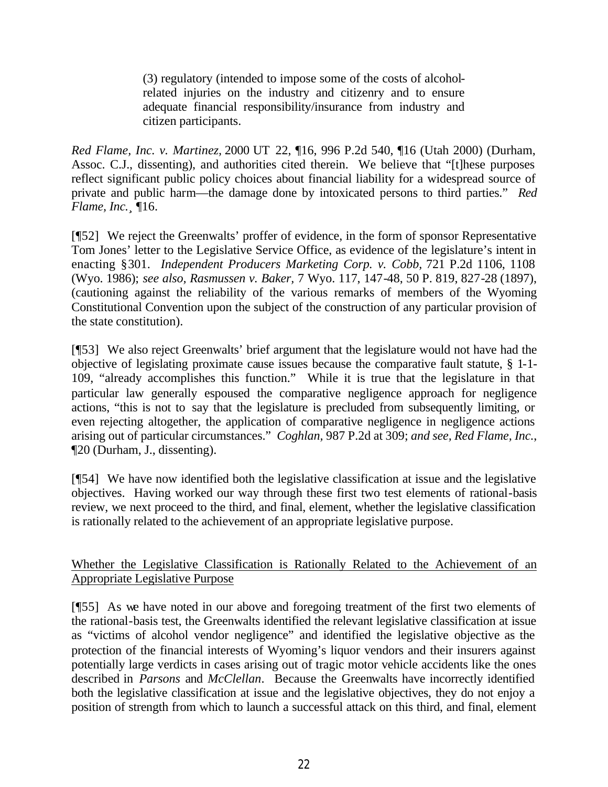(3) regulatory (intended to impose some of the costs of alcoholrelated injuries on the industry and citizenry and to ensure adequate financial responsibility/insurance from industry and citizen participants.

*Red Flame, Inc. v. Martinez,* 2000 UT 22, ¶16, 996 P.2d 540, ¶16 (Utah 2000) (Durham, Assoc. C.J., dissenting), and authorities cited therein. We believe that "[t]hese purposes reflect significant public policy choices about financial liability for a widespread source of private and public harm—the damage done by intoxicated persons to third parties." *Red Flame, Inc.¸* ¶16.

[¶52] We reject the Greenwalts' proffer of evidence, in the form of sponsor Representative Tom Jones' letter to the Legislative Service Office, as evidence of the legislature's intent in enacting §301. *Independent Producers Marketing Corp. v. Cobb,* 721 P.2d 1106, 1108 (Wyo. 1986); *see also, Rasmussen v. Baker,* 7 Wyo. 117, 147-48, 50 P. 819, 827-28 (1897), (cautioning against the reliability of the various remarks of members of the Wyoming Constitutional Convention upon the subject of the construction of any particular provision of the state constitution).

[¶53] We also reject Greenwalts' brief argument that the legislature would not have had the objective of legislating proximate cause issues because the comparative fault statute, § 1-1- 109, "already accomplishes this function." While it is true that the legislature in that particular law generally espoused the comparative negligence approach for negligence actions, "this is not to say that the legislature is precluded from subsequently limiting, or even rejecting altogether, the application of comparative negligence in negligence actions arising out of particular circumstances." *Coghlan,* 987 P.2d at 309; *and see, Red Flame, Inc.*, ¶20 (Durham, J., dissenting).

[¶54] We have now identified both the legislative classification at issue and the legislative objectives. Having worked our way through these first two test elements of rational-basis review, we next proceed to the third, and final, element, whether the legislative classification is rationally related to the achievement of an appropriate legislative purpose.

Whether the Legislative Classification is Rationally Related to the Achievement of an Appropriate Legislative Purpose

[¶55] As we have noted in our above and foregoing treatment of the first two elements of the rational-basis test, the Greenwalts identified the relevant legislative classification at issue as "victims of alcohol vendor negligence" and identified the legislative objective as the protection of the financial interests of Wyoming's liquor vendors and their insurers against potentially large verdicts in cases arising out of tragic motor vehicle accidents like the ones described in *Parsons* and *McClellan*. Because the Greenwalts have incorrectly identified both the legislative classification at issue and the legislative objectives, they do not enjoy a position of strength from which to launch a successful attack on this third, and final, element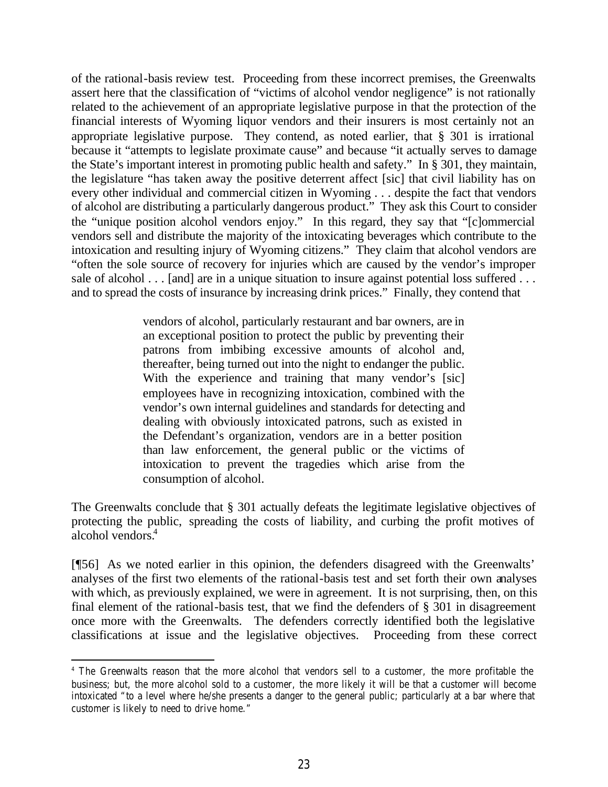of the rational-basis review test. Proceeding from these incorrect premises, the Greenwalts assert here that the classification of "victims of alcohol vendor negligence" is not rationally related to the achievement of an appropriate legislative purpose in that the protection of the financial interests of Wyoming liquor vendors and their insurers is most certainly not an appropriate legislative purpose. They contend, as noted earlier, that § 301 is irrational because it "attempts to legislate proximate cause" and because "it actually serves to damage the State's important interest in promoting public health and safety." In § 301, they maintain, the legislature "has taken away the positive deterrent affect [sic] that civil liability has on every other individual and commercial citizen in Wyoming . . . despite the fact that vendors of alcohol are distributing a particularly dangerous product." They ask this Court to consider the "unique position alcohol vendors enjoy." In this regard, they say that "[c]ommercial vendors sell and distribute the majority of the intoxicating beverages which contribute to the intoxication and resulting injury of Wyoming citizens." They claim that alcohol vendors are "often the sole source of recovery for injuries which are caused by the vendor's improper sale of alcohol . . . [and] are in a unique situation to insure against potential loss suffered . . . and to spread the costs of insurance by increasing drink prices." Finally, they contend that

> vendors of alcohol, particularly restaurant and bar owners, are in an exceptional position to protect the public by preventing their patrons from imbibing excessive amounts of alcohol and, thereafter, being turned out into the night to endanger the public. With the experience and training that many vendor's [sic] employees have in recognizing intoxication, combined with the vendor's own internal guidelines and standards for detecting and dealing with obviously intoxicated patrons, such as existed in the Defendant's organization, vendors are in a better position than law enforcement, the general public or the victims of intoxication to prevent the tragedies which arise from the consumption of alcohol.

The Greenwalts conclude that § 301 actually defeats the legitimate legislative objectives of protecting the public, spreading the costs of liability, and curbing the profit motives of alcohol vendors.<sup>4</sup>

[¶56] As we noted earlier in this opinion, the defenders disagreed with the Greenwalts' analyses of the first two elements of the rational-basis test and set forth their own analyses with which, as previously explained, we were in agreement. It is not surprising, then, on this final element of the rational-basis test, that we find the defenders of § 301 in disagreement once more with the Greenwalts. The defenders correctly identified both the legislative classifications at issue and the legislative objectives. Proceeding from these correct

<sup>4</sup> The Greenwalts reason that the more alcohol that vendors sell to a customer, the more profitable the business; but, the more alcohol sold to a customer, the more likely it will be that a customer will become intoxicated "to a level where he/she presents a danger to the general public; particularly at a bar where that customer is likely to need to drive home."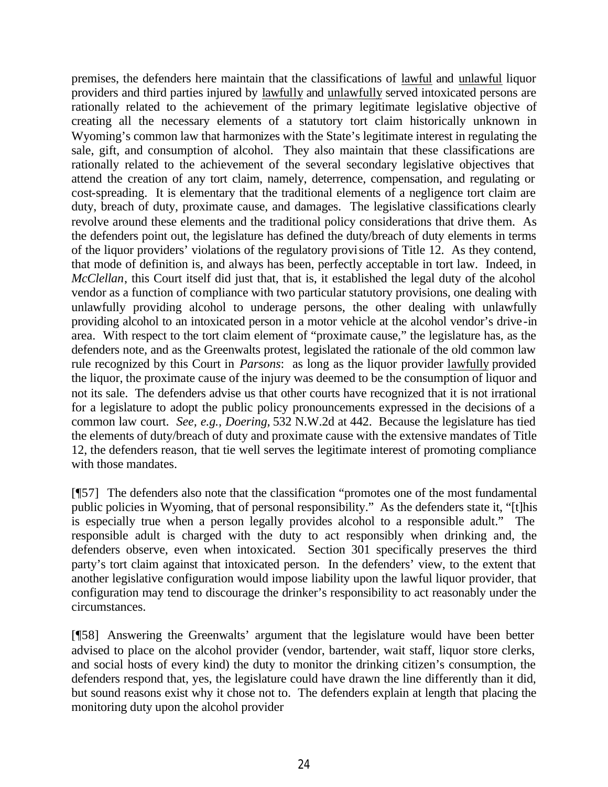premises, the defenders here maintain that the classifications of lawful and unlawful liquor providers and third parties injured by lawfully and unlawfully served intoxicated persons are rationally related to the achievement of the primary legitimate legislative objective of creating all the necessary elements of a statutory tort claim historically unknown in Wyoming's common law that harmonizes with the State's legitimate interest in regulating the sale, gift, and consumption of alcohol. They also maintain that these classifications are rationally related to the achievement of the several secondary legislative objectives that attend the creation of any tort claim, namely, deterrence, compensation, and regulating or cost-spreading. It is elementary that the traditional elements of a negligence tort claim are duty, breach of duty, proximate cause, and damages. The legislative classifications clearly revolve around these elements and the traditional policy considerations that drive them. As the defenders point out, the legislature has defined the duty/breach of duty elements in terms of the liquor providers' violations of the regulatory provisions of Title 12. As they contend, that mode of definition is, and always has been, perfectly acceptable in tort law. Indeed, in *McClellan*, this Court itself did just that, that is, it established the legal duty of the alcohol vendor as a function of compliance with two particular statutory provisions, one dealing with unlawfully providing alcohol to underage persons, the other dealing with unlawfully providing alcohol to an intoxicated person in a motor vehicle at the alcohol vendor's drive-in area. With respect to the tort claim element of "proximate cause," the legislature has, as the defenders note, and as the Greenwalts protest, legislated the rationale of the old common law rule recognized by this Court in *Parsons*: as long as the liquor provider lawfully provided the liquor, the proximate cause of the injury was deemed to be the consumption of liquor and not its sale. The defenders advise us that other courts have recognized that it is not irrational for a legislature to adopt the public policy pronouncements expressed in the decisions of a common law court. *See, e.g., Doering,* 532 N.W.2d at 442. Because the legislature has tied the elements of duty/breach of duty and proximate cause with the extensive mandates of Title 12, the defenders reason, that tie well serves the legitimate interest of promoting compliance with those mandates.

[¶57] The defenders also note that the classification "promotes one of the most fundamental public policies in Wyoming, that of personal responsibility." As the defenders state it, "[t]his is especially true when a person legally provides alcohol to a responsible adult." The responsible adult is charged with the duty to act responsibly when drinking and, the defenders observe, even when intoxicated. Section 301 specifically preserves the third party's tort claim against that intoxicated person. In the defenders' view, to the extent that another legislative configuration would impose liability upon the lawful liquor provider, that configuration may tend to discourage the drinker's responsibility to act reasonably under the circumstances.

[¶58] Answering the Greenwalts' argument that the legislature would have been better advised to place on the alcohol provider (vendor, bartender, wait staff, liquor store clerks, and social hosts of every kind) the duty to monitor the drinking citizen's consumption, the defenders respond that, yes, the legislature could have drawn the line differently than it did, but sound reasons exist why it chose not to. The defenders explain at length that placing the monitoring duty upon the alcohol provider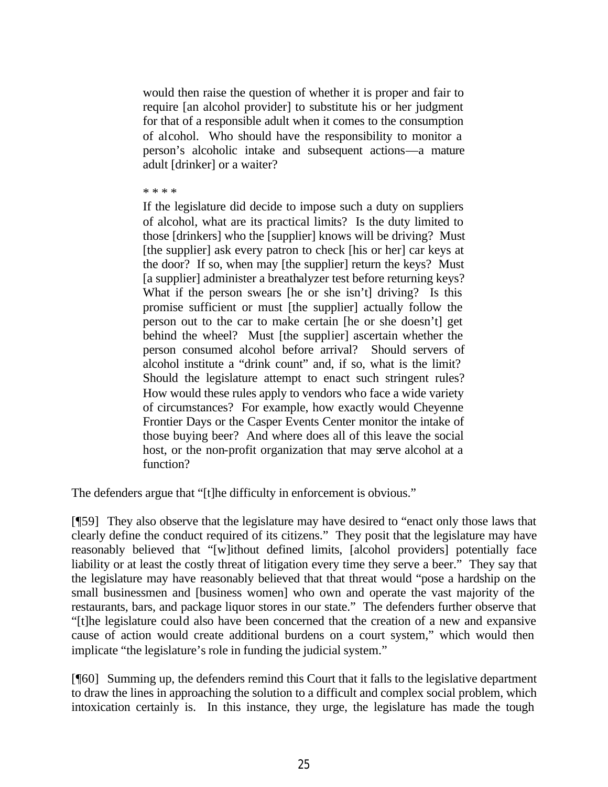would then raise the question of whether it is proper and fair to require [an alcohol provider] to substitute his or her judgment for that of a responsible adult when it comes to the consumption of alcohol. Who should have the responsibility to monitor a person's alcoholic intake and subsequent actions—a mature adult [drinker] or a waiter?

\* \* \* \*

If the legislature did decide to impose such a duty on suppliers of alcohol, what are its practical limits? Is the duty limited to those [drinkers] who the [supplier] knows will be driving? Must [the supplier] ask every patron to check [his or her] car keys at the door? If so, when may [the supplier] return the keys? Must [a supplier] administer a breathalyzer test before returning keys? What if the person swears [he or she isn't] driving? Is this promise sufficient or must [the supplier] actually follow the person out to the car to make certain [he or she doesn't] get behind the wheel? Must [the supplier] ascertain whether the person consumed alcohol before arrival? Should servers of alcohol institute a "drink count" and, if so, what is the limit? Should the legislature attempt to enact such stringent rules? How would these rules apply to vendors who face a wide variety of circumstances? For example, how exactly would Cheyenne Frontier Days or the Casper Events Center monitor the intake of those buying beer? And where does all of this leave the social host, or the non-profit organization that may serve alcohol at a function?

The defenders argue that "[t]he difficulty in enforcement is obvious."

[¶59] They also observe that the legislature may have desired to "enact only those laws that clearly define the conduct required of its citizens." They posit that the legislature may have reasonably believed that "[w]ithout defined limits, [alcohol providers] potentially face liability or at least the costly threat of litigation every time they serve a beer." They say that the legislature may have reasonably believed that that threat would "pose a hardship on the small businessmen and [business women] who own and operate the vast majority of the restaurants, bars, and package liquor stores in our state." The defenders further observe that "[t]he legislature could also have been concerned that the creation of a new and expansive cause of action would create additional burdens on a court system," which would then implicate "the legislature's role in funding the judicial system."

[¶60] Summing up, the defenders remind this Court that it falls to the legislative department to draw the lines in approaching the solution to a difficult and complex social problem, which intoxication certainly is. In this instance, they urge, the legislature has made the tough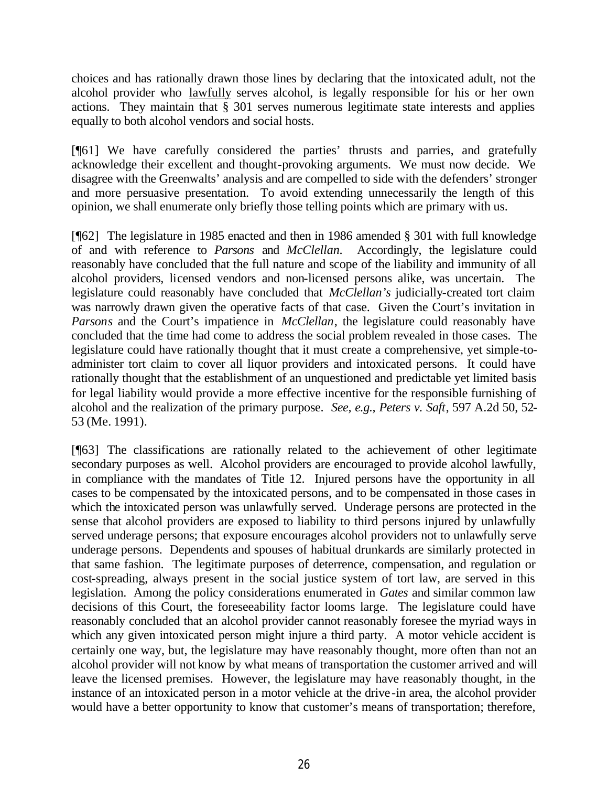choices and has rationally drawn those lines by declaring that the intoxicated adult, not the alcohol provider who lawfully serves alcohol, is legally responsible for his or her own actions. They maintain that § 301 serves numerous legitimate state interests and applies equally to both alcohol vendors and social hosts.

[¶61] We have carefully considered the parties' thrusts and parries, and gratefully acknowledge their excellent and thought-provoking arguments. We must now decide. We disagree with the Greenwalts' analysis and are compelled to side with the defenders' stronger and more persuasive presentation. To avoid extending unnecessarily the length of this opinion, we shall enumerate only briefly those telling points which are primary with us.

[¶62] The legislature in 1985 enacted and then in 1986 amended § 301 with full knowledge of and with reference to *Parsons* and *McClellan*. Accordingly, the legislature could reasonably have concluded that the full nature and scope of the liability and immunity of all alcohol providers, licensed vendors and non-licensed persons alike, was uncertain. The legislature could reasonably have concluded that *McClellan's* judicially-created tort claim was narrowly drawn given the operative facts of that case. Given the Court's invitation in *Parsons* and the Court's impatience in *McClellan*, the legislature could reasonably have concluded that the time had come to address the social problem revealed in those cases. The legislature could have rationally thought that it must create a comprehensive, yet simple-toadminister tort claim to cover all liquor providers and intoxicated persons. It could have rationally thought that the establishment of an unquestioned and predictable yet limited basis for legal liability would provide a more effective incentive for the responsible furnishing of alcohol and the realization of the primary purpose. *See, e.g., Peters v. Saft*, 597 A.2d 50, 52- 53 (Me. 1991).

[¶63] The classifications are rationally related to the achievement of other legitimate secondary purposes as well. Alcohol providers are encouraged to provide alcohol lawfully, in compliance with the mandates of Title 12. Injured persons have the opportunity in all cases to be compensated by the intoxicated persons, and to be compensated in those cases in which the intoxicated person was unlawfully served. Underage persons are protected in the sense that alcohol providers are exposed to liability to third persons injured by unlawfully served underage persons; that exposure encourages alcohol providers not to unlawfully serve underage persons. Dependents and spouses of habitual drunkards are similarly protected in that same fashion. The legitimate purposes of deterrence, compensation, and regulation or cost-spreading, always present in the social justice system of tort law, are served in this legislation. Among the policy considerations enumerated in *Gates* and similar common law decisions of this Court, the foreseeability factor looms large. The legislature could have reasonably concluded that an alcohol provider cannot reasonably foresee the myriad ways in which any given intoxicated person might injure a third party. A motor vehicle accident is certainly one way, but, the legislature may have reasonably thought, more often than not an alcohol provider will not know by what means of transportation the customer arrived and will leave the licensed premises. However, the legislature may have reasonably thought, in the instance of an intoxicated person in a motor vehicle at the drive-in area, the alcohol provider would have a better opportunity to know that customer's means of transportation; therefore,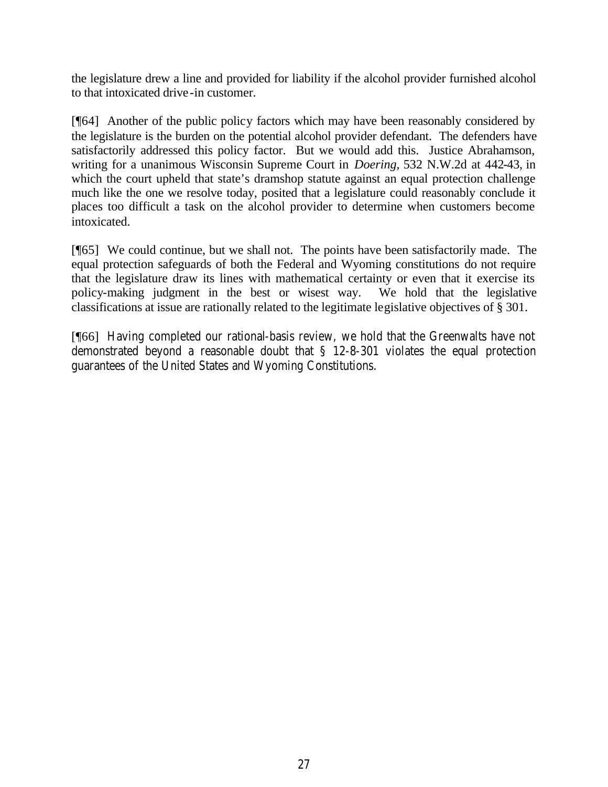the legislature drew a line and provided for liability if the alcohol provider furnished alcohol to that intoxicated drive-in customer.

[¶64] Another of the public policy factors which may have been reasonably considered by the legislature is the burden on the potential alcohol provider defendant. The defenders have satisfactorily addressed this policy factor. But we would add this. Justice Abrahamson, writing for a unanimous Wisconsin Supreme Court in *Doering,* 532 N.W.2d at 442-43, in which the court upheld that state's dramshop statute against an equal protection challenge much like the one we resolve today, posited that a legislature could reasonably conclude it places too difficult a task on the alcohol provider to determine when customers become intoxicated.

[¶65] We could continue, but we shall not. The points have been satisfactorily made. The equal protection safeguards of both the Federal and Wyoming constitutions do not require that the legislature draw its lines with mathematical certainty or even that it exercise its policy-making judgment in the best or wisest way. We hold that the legislative classifications at issue are rationally related to the legitimate legislative objectives of § 301.

[¶66] Having completed our rational-basis review, we hold that the Greenwalts have not demonstrated beyond a reasonable doubt that § 12-8-301 violates the equal protection guarantees of the United States and Wyoming Constitutions.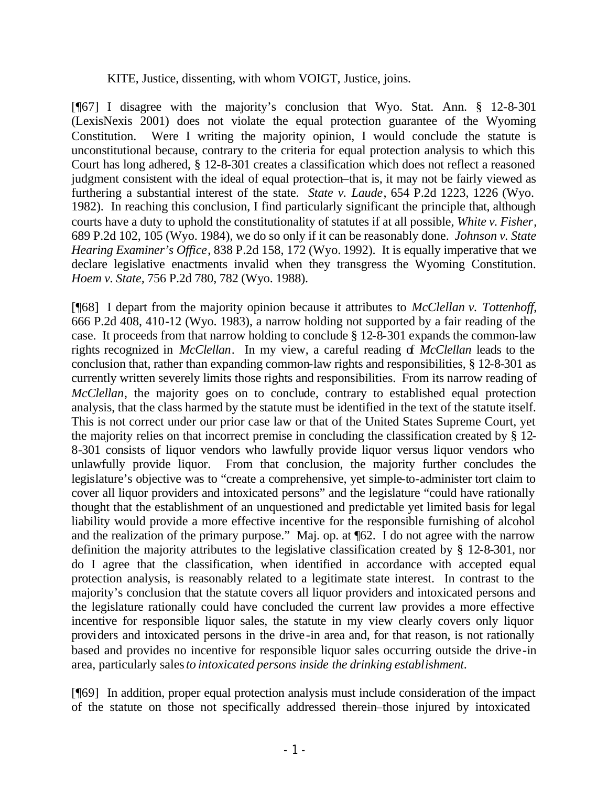#### KITE, Justice, dissenting, with whom VOIGT, Justice, joins.

[¶67] I disagree with the majority's conclusion that Wyo. Stat. Ann. § 12-8-301 (LexisNexis 2001) does not violate the equal protection guarantee of the Wyoming Constitution. Were I writing the majority opinion, I would conclude the statute is unconstitutional because, contrary to the criteria for equal protection analysis to which this Court has long adhered, § 12-8-301 creates a classification which does not reflect a reasoned judgment consistent with the ideal of equal protection–that is, it may not be fairly viewed as furthering a substantial interest of the state. *State v. Laude*, 654 P.2d 1223, 1226 (Wyo. 1982). In reaching this conclusion, I find particularly significant the principle that, although courts have a duty to uphold the constitutionality of statutes if at all possible, *White v. Fisher*, 689 P.2d 102, 105 (Wyo. 1984), we do so only if it can be reasonably done. *Johnson v. State Hearing Examiner's Office*, 838 P.2d 158, 172 (Wyo. 1992). It is equally imperative that we declare legislative enactments invalid when they transgress the Wyoming Constitution. *Hoem v. State,* 756 P.2d 780, 782 (Wyo. 1988).

[¶68] I depart from the majority opinion because it attributes to *McClellan v. Tottenhoff*, 666 P.2d 408, 410-12 (Wyo. 1983), a narrow holding not supported by a fair reading of the case. It proceeds from that narrow holding to conclude § 12-8-301 expands the common-law rights recognized in *McClellan*. In my view, a careful reading of *McClellan* leads to the conclusion that, rather than expanding common-law rights and responsibilities, § 12-8-301 as currently written severely limits those rights and responsibilities. From its narrow reading of *McClellan*, the majority goes on to conclude, contrary to established equal protection analysis, that the class harmed by the statute must be identified in the text of the statute itself. This is not correct under our prior case law or that of the United States Supreme Court, yet the majority relies on that incorrect premise in concluding the classification created by § 12- 8-301 consists of liquor vendors who lawfully provide liquor versus liquor vendors who unlawfully provide liquor. From that conclusion, the majority further concludes the legislature's objective was to "create a comprehensive, yet simple-to-administer tort claim to cover all liquor providers and intoxicated persons" and the legislature "could have rationally thought that the establishment of an unquestioned and predictable yet limited basis for legal liability would provide a more effective incentive for the responsible furnishing of alcohol and the realization of the primary purpose." Maj. op. at ¶62. I do not agree with the narrow definition the majority attributes to the legislative classification created by § 12-8-301, nor do I agree that the classification, when identified in accordance with accepted equal protection analysis, is reasonably related to a legitimate state interest. In contrast to the majority's conclusion that the statute covers all liquor providers and intoxicated persons and the legislature rationally could have concluded the current law provides a more effective incentive for responsible liquor sales, the statute in my view clearly covers only liquor providers and intoxicated persons in the drive-in area and, for that reason, is not rationally based and provides no incentive for responsible liquor sales occurring outside the drive-in area, particularly sales *to intoxicated persons inside the drinking establishment*.

[¶69] In addition, proper equal protection analysis must include consideration of the impact of the statute on those not specifically addressed therein–those injured by intoxicated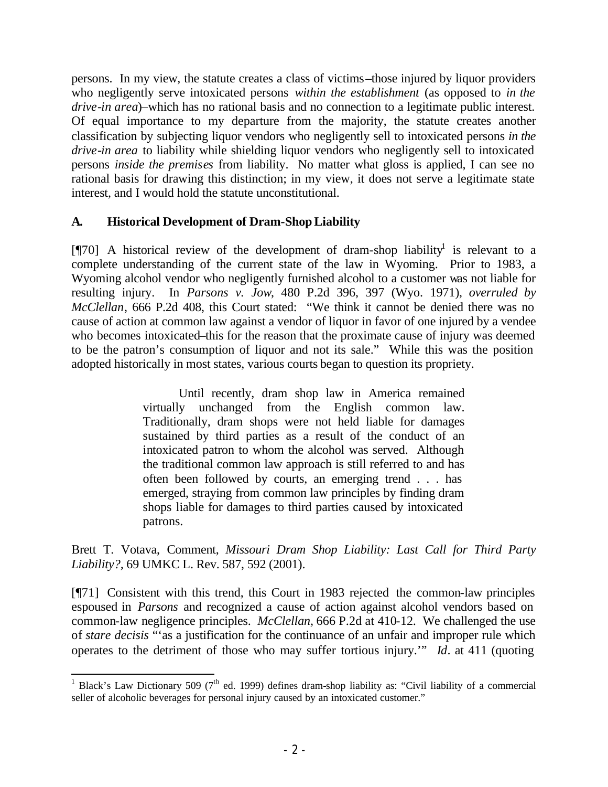persons. In my view, the statute creates a class of victims–those injured by liquor providers who negligently serve intoxicated persons *within the establishment* (as opposed to *in the drive-in area*)–which has no rational basis and no connection to a legitimate public interest. Of equal importance to my departure from the majority, the statute creates another classification by subjecting liquor vendors who negligently sell to intoxicated persons *in the drive-in area* to liability while shielding liquor vendors who negligently sell to intoxicated persons *inside the premises* from liability. No matter what gloss is applied, I can see no rational basis for drawing this distinction; in my view, it does not serve a legitimate state interest, and I would hold the statute unconstitutional.

## **A. Historical Development of Dram-Shop Liability**

 $[\![\mathcal{T}0]\!]$  A historical review of the development of dram-shop liability<sup>1</sup> is relevant to a complete understanding of the current state of the law in Wyoming. Prior to 1983, a Wyoming alcohol vendor who negligently furnished alcohol to a customer was not liable for resulting injury. In *Parsons v. Jow*, 480 P.2d 396, 397 (Wyo. 1971), *overruled by McClellan*, 666 P.2d 408, this Court stated: "We think it cannot be denied there was no cause of action at common law against a vendor of liquor in favor of one injured by a vendee who becomes intoxicated–this for the reason that the proximate cause of injury was deemed to be the patron's consumption of liquor and not its sale." While this was the position adopted historically in most states, various courts began to question its propriety.

> Until recently, dram shop law in America remained virtually unchanged from the English common law. Traditionally, dram shops were not held liable for damages sustained by third parties as a result of the conduct of an intoxicated patron to whom the alcohol was served. Although the traditional common law approach is still referred to and has often been followed by courts, an emerging trend . . . has emerged, straying from common law principles by finding dram shops liable for damages to third parties caused by intoxicated patrons.

Brett T. Votava, Comment, *Missouri Dram Shop Liability: Last Call for Third Party Liability?,* 69 UMKC L. Rev. 587, 592 (2001).

[¶71] Consistent with this trend, this Court in 1983 rejected the common-law principles espoused in *Parsons* and recognized a cause of action against alcohol vendors based on common-law negligence principles. *McClellan,* 666 P.2d at 410-12. We challenged the use of *stare decisis* "'as a justification for the continuance of an unfair and improper rule which operates to the detriment of those who may suffer tortious injury.'" *Id*. at 411 (quoting

<sup>&</sup>lt;sup>1</sup> Black's Law Dictionary 509 (7<sup>th</sup> ed. 1999) defines dram-shop liability as: "Civil liability of a commercial seller of alcoholic beverages for personal injury caused by an intoxicated customer."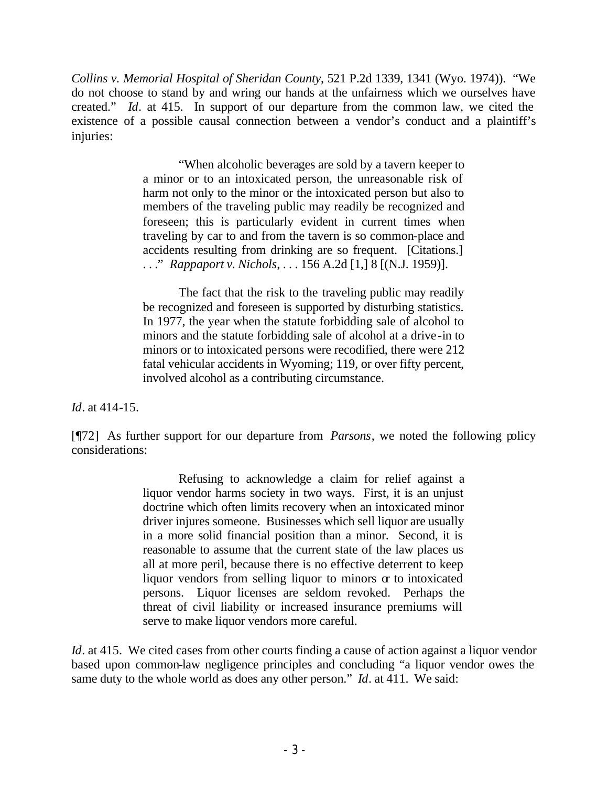*Collins v. Memorial Hospital of Sheridan County*, 521 P.2d 1339, 1341 (Wyo. 1974)). "We do not choose to stand by and wring our hands at the unfairness which we ourselves have created." *Id*. at 415. In support of our departure from the common law, we cited the existence of a possible causal connection between a vendor's conduct and a plaintiff's injuries:

> "When alcoholic beverages are sold by a tavern keeper to a minor or to an intoxicated person, the unreasonable risk of harm not only to the minor or the intoxicated person but also to members of the traveling public may readily be recognized and foreseen; this is particularly evident in current times when traveling by car to and from the tavern is so common-place and accidents resulting from drinking are so frequent. [Citations.] . . ." *Rappaport v. Nichols*, . . . 156 A.2d [1,] 8 [(N.J. 1959)].

> The fact that the risk to the traveling public may readily be recognized and foreseen is supported by disturbing statistics. In 1977, the year when the statute forbidding sale of alcohol to minors and the statute forbidding sale of alcohol at a drive-in to minors or to intoxicated persons were recodified, there were 212 fatal vehicular accidents in Wyoming; 119, or over fifty percent, involved alcohol as a contributing circumstance.

*Id*. at 414-15.

[¶72] As further support for our departure from *Parsons*, we noted the following policy considerations:

> Refusing to acknowledge a claim for relief against a liquor vendor harms society in two ways. First, it is an unjust doctrine which often limits recovery when an intoxicated minor driver injures someone. Businesses which sell liquor are usually in a more solid financial position than a minor. Second, it is reasonable to assume that the current state of the law places us all at more peril, because there is no effective deterrent to keep liquor vendors from selling liquor to minors  $\alpha$  to intoxicated persons. Liquor licenses are seldom revoked. Perhaps the threat of civil liability or increased insurance premiums will serve to make liquor vendors more careful.

*Id*. at 415. We cited cases from other courts finding a cause of action against a liquor vendor based upon common-law negligence principles and concluding "a liquor vendor owes the same duty to the whole world as does any other person." *Id*. at 411. We said: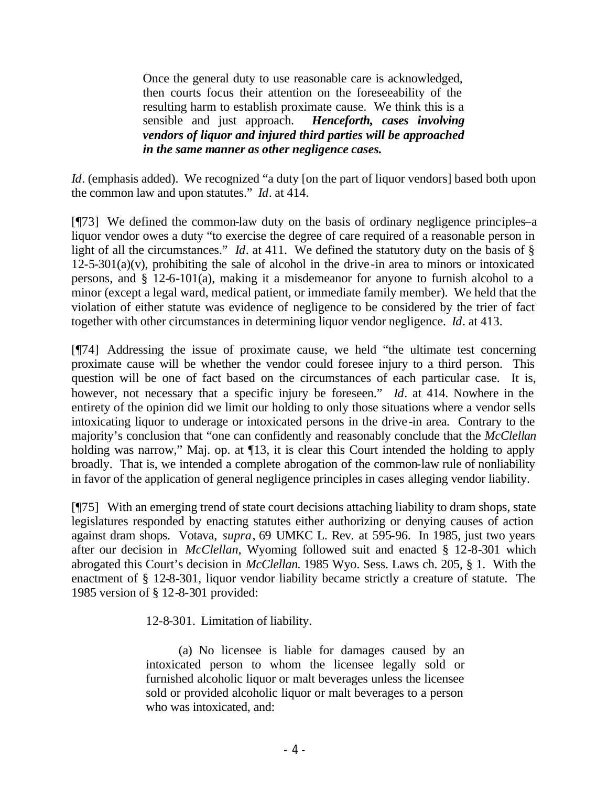Once the general duty to use reasonable care is acknowledged, then courts focus their attention on the foreseeability of the resulting harm to establish proximate cause. We think this is a sensible and just approach. *Henceforth, cases involving vendors of liquor and injured third parties will be approached in the same manner as other negligence cases.*

*Id.* (emphasis added). We recognized "a duty [on the part of liquor vendors] based both upon the common law and upon statutes." *Id*. at 414.

[¶73] We defined the common-law duty on the basis of ordinary negligence principles–a liquor vendor owes a duty "to exercise the degree of care required of a reasonable person in light of all the circumstances." *Id*. at 411. We defined the statutory duty on the basis of §  $12-5-301(a)(v)$ , prohibiting the sale of alcohol in the drive-in area to minors or intoxicated persons, and § 12-6-101(a), making it a misdemeanor for anyone to furnish alcohol to a minor (except a legal ward, medical patient, or immediate family member). We held that the violation of either statute was evidence of negligence to be considered by the trier of fact together with other circumstances in determining liquor vendor negligence. *Id*. at 413.

[¶74] Addressing the issue of proximate cause, we held "the ultimate test concerning proximate cause will be whether the vendor could foresee injury to a third person. This question will be one of fact based on the circumstances of each particular case. It is, however, not necessary that a specific injury be foreseen." *Id*. at 414. Nowhere in the entirety of the opinion did we limit our holding to only those situations where a vendor sells intoxicating liquor to underage or intoxicated persons in the drive-in area. Contrary to the majority's conclusion that "one can confidently and reasonably conclude that the *McClellan* holding was narrow," Maj. op. at  $\P$ 13, it is clear this Court intended the holding to apply broadly. That is, we intended a complete abrogation of the common-law rule of nonliability in favor of the application of general negligence principles in cases alleging vendor liability.

[¶75] With an emerging trend of state court decisions attaching liability to dram shops, state legislatures responded by enacting statutes either authorizing or denying causes of action against dram shops. Votava, *supra*, 69 UMKC L. Rev. at 595-96. In 1985, just two years after our decision in *McClellan*, Wyoming followed suit and enacted § 12-8-301 which abrogated this Court's decision in *McClellan.* 1985 Wyo. Sess. Laws ch. 205, § 1. With the enactment of § 12-8-301, liquor vendor liability became strictly a creature of statute. The 1985 version of § 12-8-301 provided:

12-8-301. Limitation of liability.

(a) No licensee is liable for damages caused by an intoxicated person to whom the licensee legally sold or furnished alcoholic liquor or malt beverages unless the licensee sold or provided alcoholic liquor or malt beverages to a person who was intoxicated, and: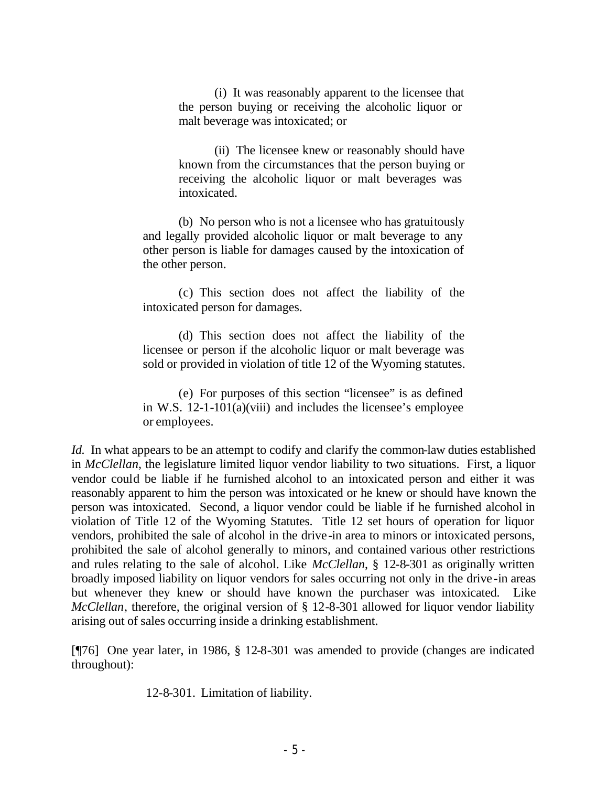(i) It was reasonably apparent to the licensee that the person buying or receiving the alcoholic liquor or malt beverage was intoxicated; or

(ii) The licensee knew or reasonably should have known from the circumstances that the person buying or receiving the alcoholic liquor or malt beverages was intoxicated.

(b) No person who is not a licensee who has gratuitously and legally provided alcoholic liquor or malt beverage to any other person is liable for damages caused by the intoxication of the other person.

(c) This section does not affect the liability of the intoxicated person for damages.

(d) This section does not affect the liability of the licensee or person if the alcoholic liquor or malt beverage was sold or provided in violation of title 12 of the Wyoming statutes.

(e) For purposes of this section "licensee" is as defined in W.S. 12-1-101(a)(viii) and includes the licensee's employee or employees.

*Id.* In what appears to be an attempt to codify and clarify the common-law duties established in *McClellan*, the legislature limited liquor vendor liability to two situations. First, a liquor vendor could be liable if he furnished alcohol to an intoxicated person and either it was reasonably apparent to him the person was intoxicated or he knew or should have known the person was intoxicated. Second, a liquor vendor could be liable if he furnished alcohol in violation of Title 12 of the Wyoming Statutes. Title 12 set hours of operation for liquor vendors, prohibited the sale of alcohol in the drive-in area to minors or intoxicated persons, prohibited the sale of alcohol generally to minors, and contained various other restrictions and rules relating to the sale of alcohol. Like *McClellan*, § 12-8-301 as originally written broadly imposed liability on liquor vendors for sales occurring not only in the drive-in areas but whenever they knew or should have known the purchaser was intoxicated. Like *McClellan*, therefore, the original version of § 12-8-301 allowed for liquor vendor liability arising out of sales occurring inside a drinking establishment.

[¶76] One year later, in 1986, § 12-8-301 was amended to provide (changes are indicated throughout):

12-8-301. Limitation of liability.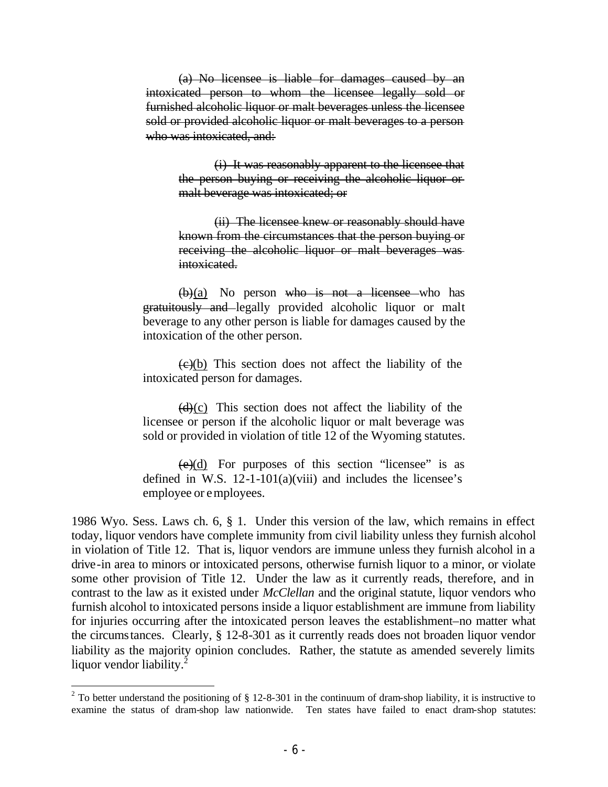(a) No licensee is liable for damages caused by an intoxicated person to whom the licensee legally sold or furnished alcoholic liquor or malt beverages unless the licensee sold or provided alcoholic liquor or malt beverages to a person who was intoxicated, and:

> (i) It was reasonably apparent to the licensee that the person buying or receiving the alcoholic liquor or malt beverage was intoxicated; or

> (ii) The licensee knew or reasonably should have known from the circumstances that the person buying or receiving the alcoholic liquor or malt beverages was intoxicated.

 $(b)(a)$  No person who is not a licensee who has gratuitously and legally provided alcoholic liquor or malt beverage to any other person is liable for damages caused by the intoxication of the other person.

 $\left(\frac{c}{c}\right)$  This section does not affect the liability of the intoxicated person for damages.

 $(d)(c)$  This section does not affect the liability of the licensee or person if the alcoholic liquor or malt beverage was sold or provided in violation of title 12 of the Wyoming statutes.

 $(e)(d)$  For purposes of this section "licensee" is as defined in W.S.  $12-1-101(a)(viii)$  and includes the licensee's employee or employees.

1986 Wyo. Sess. Laws ch. 6, § 1. Under this version of the law, which remains in effect today, liquor vendors have complete immunity from civil liability unless they furnish alcohol in violation of Title 12. That is, liquor vendors are immune unless they furnish alcohol in a drive-in area to minors or intoxicated persons, otherwise furnish liquor to a minor, or violate some other provision of Title 12. Under the law as it currently reads, therefore, and in contrast to the law as it existed under *McClellan* and the original statute, liquor vendors who furnish alcohol to intoxicated persons inside a liquor establishment are immune from liability for injuries occurring after the intoxicated person leaves the establishment–no matter what the circumstances. Clearly, § 12-8-301 as it currently reads does not broaden liquor vendor liability as the majority opinion concludes. Rather, the statute as amended severely limits liquor vendor liability. $^{2}$ 

<sup>&</sup>lt;sup>2</sup> To better understand the positioning of  $\S$  12-8-301 in the continuum of dram-shop liability, it is instructive to examine the status of dram-shop law nationwide. Ten states have failed to enact dram-shop statutes: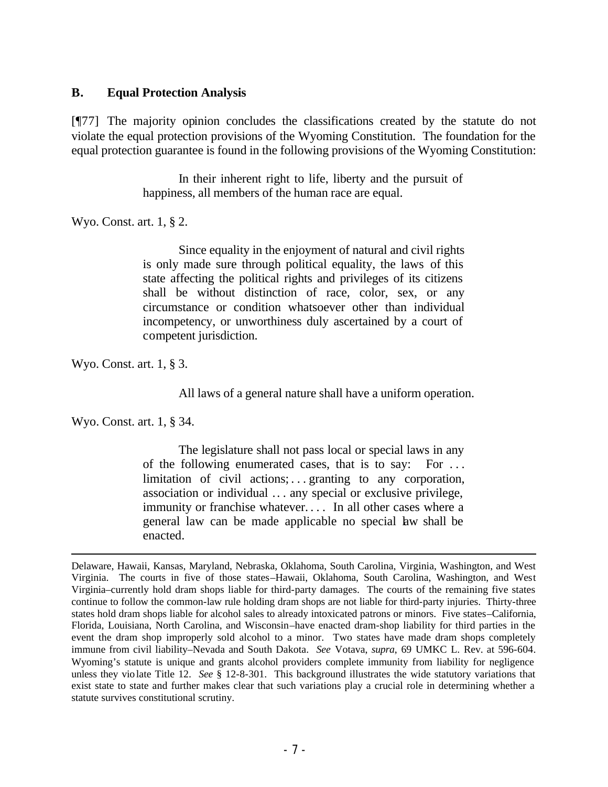#### **B. Equal Protection Analysis**

[¶77] The majority opinion concludes the classifications created by the statute do not violate the equal protection provisions of the Wyoming Constitution. The foundation for the equal protection guarantee is found in the following provisions of the Wyoming Constitution:

> In their inherent right to life, liberty and the pursuit of happiness, all members of the human race are equal.

Wyo. Const. art. 1, § 2.

Since equality in the enjoyment of natural and civil rights is only made sure through political equality, the laws of this state affecting the political rights and privileges of its citizens shall be without distinction of race, color, sex, or any circumstance or condition whatsoever other than individual incompetency, or unworthiness duly ascertained by a court of competent jurisdiction.

Wyo. Const. art. 1, § 3.

All laws of a general nature shall have a uniform operation.

Wyo. Const. art. 1, § 34.

The legislature shall not pass local or special laws in any of the following enumerated cases, that is to say: For . . . limitation of civil actions; ... granting to any corporation, association or individual .. . any special or exclusive privilege, immunity or franchise whatever.... In all other cases where a general law can be made applicable no special law shall be enacted.

Delaware, Hawaii, Kansas, Maryland, Nebraska, Oklahoma, South Carolina, Virginia, Washington, and West Virginia. The courts in five of those states–Hawaii, Oklahoma, South Carolina, Washington, and West Virginia–currently hold dram shops liable for third-party damages. The courts of the remaining five states continue to follow the common-law rule holding dram shops are not liable for third-party injuries. Thirty-three states hold dram shops liable for alcohol sales to already intoxicated patrons or minors. Five states–California, Florida, Louisiana, North Carolina, and Wisconsin–have enacted dram-shop liability for third parties in the event the dram shop improperly sold alcohol to a minor. Two states have made dram shops completely immune from civil liability–Nevada and South Dakota. *See* Votava, *supra*, 69 UMKC L. Rev. at 596-604. Wyoming's statute is unique and grants alcohol providers complete immunity from liability for negligence unless they vio late Title 12. *See* § 12-8-301. This background illustrates the wide statutory variations that exist state to state and further makes clear that such variations play a crucial role in determining whether a statute survives constitutional scrutiny.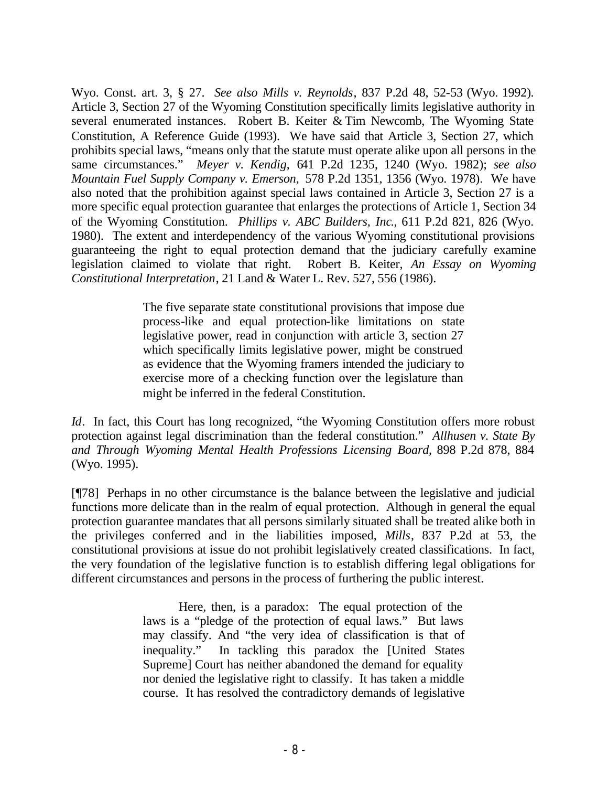Wyo. Const. art. 3, § 27. *See also Mills v. Reynolds*, 837 P.2d 48, 52-53 (Wyo. 1992). Article 3, Section 27 of the Wyoming Constitution specifically limits legislative authority in several enumerated instances. Robert B. Keiter & Tim Newcomb, The Wyoming State Constitution, A Reference Guide (1993). We have said that Article 3, Section 27, which prohibits special laws, "means only that the statute must operate alike upon all persons in the same circumstances." *Meyer v. Kendig*, 641 P.2d 1235, 1240 (Wyo. 1982); *see also Mountain Fuel Supply Company v. Emerson,* 578 P.2d 1351, 1356 (Wyo. 1978). We have also noted that the prohibition against special laws contained in Article 3, Section 27 is a more specific equal protection guarantee that enlarges the protections of Article 1, Section 34 of the Wyoming Constitution. *Phillips v. ABC Builders, Inc*., 611 P.2d 821, 826 (Wyo. 1980). The extent and interdependency of the various Wyoming constitutional provisions guaranteeing the right to equal protection demand that the judiciary carefully examine legislation claimed to violate that right. Robert B. Keiter, *An Essay on Wyoming Constitutional Interpretation*, 21 Land & Water L. Rev. 527, 556 (1986).

> The five separate state constitutional provisions that impose due process-like and equal protection-like limitations on state legislative power, read in conjunction with article 3, section 27 which specifically limits legislative power, might be construed as evidence that the Wyoming framers intended the judiciary to exercise more of a checking function over the legislature than might be inferred in the federal Constitution.

*Id.* In fact, this Court has long recognized, "the Wyoming Constitution offers more robust protection against legal discrimination than the federal constitution." *Allhusen v. State By and Through Wyoming Mental Health Professions Licensing Board*, 898 P.2d 878, 884 (Wyo. 1995).

[¶78] Perhaps in no other circumstance is the balance between the legislative and judicial functions more delicate than in the realm of equal protection. Although in general the equal protection guarantee mandates that all persons similarly situated shall be treated alike both in the privileges conferred and in the liabilities imposed, *Mills*, 837 P.2d at 53, the constitutional provisions at issue do not prohibit legislatively created classifications. In fact, the very foundation of the legislative function is to establish differing legal obligations for different circumstances and persons in the process of furthering the public interest.

> Here, then, is a paradox: The equal protection of the laws is a "pledge of the protection of equal laws." But laws may classify. And "the very idea of classification is that of inequality." In tackling this paradox the [United States Supreme] Court has neither abandoned the demand for equality nor denied the legislative right to classify. It has taken a middle course. It has resolved the contradictory demands of legislative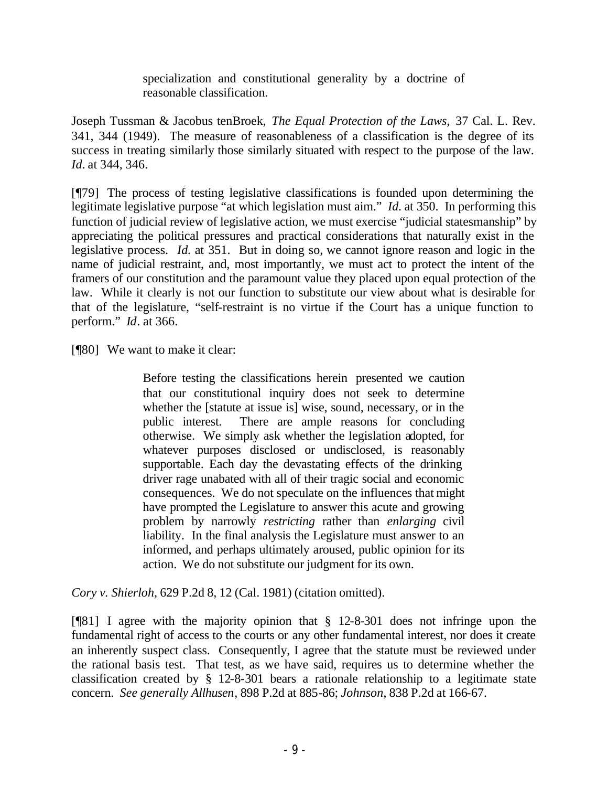specialization and constitutional generality by a doctrine of reasonable classification.

Joseph Tussman & Jacobus tenBroek, *The Equal Protection of the Laws,* 37 Cal. L. Rev. 341, 344 (1949). The measure of reasonableness of a classification is the degree of its success in treating similarly those similarly situated with respect to the purpose of the law. *Id.* at 344, 346.

[¶79] The process of testing legislative classifications is founded upon determining the legitimate legislative purpose "at which legislation must aim." *Id.* at 350. In performing this function of judicial review of legislative action, we must exercise "judicial statesmanship" by appreciating the political pressures and practical considerations that naturally exist in the legislative process. *Id.* at 351. But in doing so, we cannot ignore reason and logic in the name of judicial restraint, and, most importantly, we must act to protect the intent of the framers of our constitution and the paramount value they placed upon equal protection of the law. While it clearly is not our function to substitute our view about what is desirable for that of the legislature, "self-restraint is no virtue if the Court has a unique function to perform." *Id*. at 366.

[¶80] We want to make it clear:

Before testing the classifications herein presented we caution that our constitutional inquiry does not seek to determine whether the [statute at issue is] wise, sound, necessary, or in the public interest. There are ample reasons for concluding otherwise. We simply ask whether the legislation adopted, for whatever purposes disclosed or undisclosed, is reasonably supportable. Each day the devastating effects of the drinking driver rage unabated with all of their tragic social and economic consequences. We do not speculate on the influences that might have prompted the Legislature to answer this acute and growing problem by narrowly *restricting* rather than *enlarging* civil liability. In the final analysis the Legislature must answer to an informed, and perhaps ultimately aroused, public opinion for its action. We do not substitute our judgment for its own.

*Cory v. Shierloh*, 629 P.2d 8, 12 (Cal. 1981) (citation omitted).

[¶81] I agree with the majority opinion that § 12-8-301 does not infringe upon the fundamental right of access to the courts or any other fundamental interest, nor does it create an inherently suspect class. Consequently, I agree that the statute must be reviewed under the rational basis test. That test, as we have said, requires us to determine whether the classification created by § 12-8-301 bears a rationale relationship to a legitimate state concern. *See generally Allhusen*, 898 P.2d at 885-86; *Johnson*, 838 P.2d at 166-67.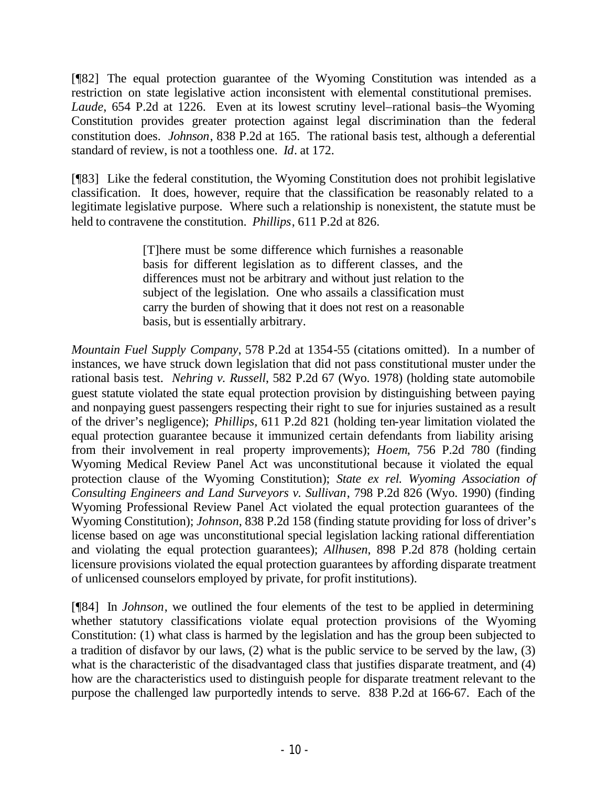[¶82] The equal protection guarantee of the Wyoming Constitution was intended as a restriction on state legislative action inconsistent with elemental constitutional premises. *Laude*, 654 P.2d at 1226. Even at its lowest scrutiny level–rational basis–the Wyoming Constitution provides greater protection against legal discrimination than the federal constitution does. *Johnson*, 838 P.2d at 165. The rational basis test, although a deferential standard of review, is not a toothless one. *Id*. at 172.

[¶83] Like the federal constitution, the Wyoming Constitution does not prohibit legislative classification. It does, however, require that the classification be reasonably related to a legitimate legislative purpose. Where such a relationship is nonexistent, the statute must be held to contravene the constitution. *Phillips*, 611 P.2d at 826.

> [T]here must be some difference which furnishes a reasonable basis for different legislation as to different classes, and the differences must not be arbitrary and without just relation to the subject of the legislation. One who assails a classification must carry the burden of showing that it does not rest on a reasonable basis, but is essentially arbitrary.

*Mountain Fuel Supply Company*, 578 P.2d at 1354-55 (citations omitted). In a number of instances, we have struck down legislation that did not pass constitutional muster under the rational basis test. *Nehring v. Russell*, 582 P.2d 67 (Wyo. 1978) (holding state automobile guest statute violated the state equal protection provision by distinguishing between paying and nonpaying guest passengers respecting their right to sue for injuries sustained as a result of the driver's negligence); *Phillips,* 611 P.2d 821 (holding ten-year limitation violated the equal protection guarantee because it immunized certain defendants from liability arising from their involvement in real property improvements); *Hoem*, 756 P.2d 780 (finding Wyoming Medical Review Panel Act was unconstitutional because it violated the equal protection clause of the Wyoming Constitution); *State ex rel. Wyoming Association of Consulting Engineers and Land Surveyors v. Sullivan*, 798 P.2d 826 (Wyo. 1990) (finding Wyoming Professional Review Panel Act violated the equal protection guarantees of the Wyoming Constitution); *Johnson*, 838 P.2d 158 (finding statute providing for loss of driver's license based on age was unconstitutional special legislation lacking rational differentiation and violating the equal protection guarantees); *Allhusen*, 898 P.2d 878 (holding certain licensure provisions violated the equal protection guarantees by affording disparate treatment of unlicensed counselors employed by private, for profit institutions).

[¶84] In *Johnson*, we outlined the four elements of the test to be applied in determining whether statutory classifications violate equal protection provisions of the Wyoming Constitution: (1) what class is harmed by the legislation and has the group been subjected to a tradition of disfavor by our laws, (2) what is the public service to be served by the law, (3) what is the characteristic of the disadvantaged class that justifies disparate treatment, and (4) how are the characteristics used to distinguish people for disparate treatment relevant to the purpose the challenged law purportedly intends to serve. 838 P.2d at 166-67. Each of the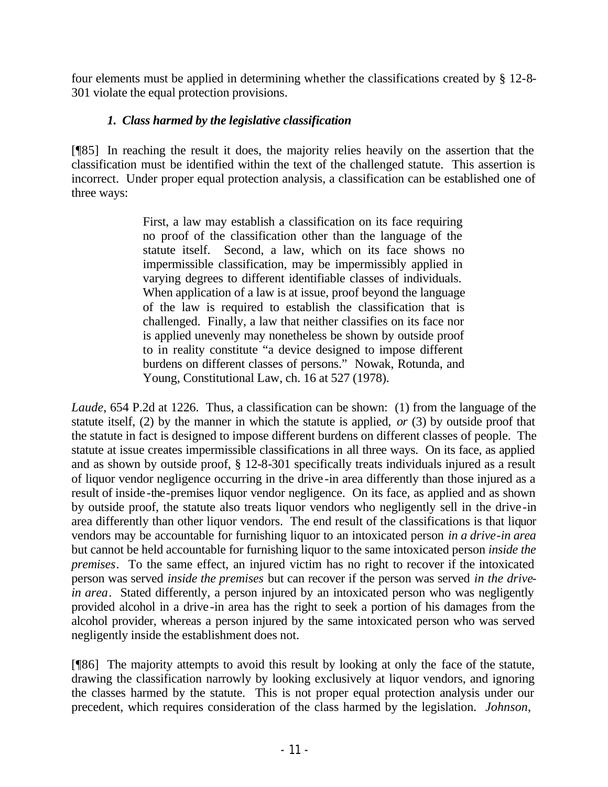four elements must be applied in determining whether the classifications created by § 12-8- 301 violate the equal protection provisions.

## *1. Class harmed by the legislative classification*

[¶85] In reaching the result it does, the majority relies heavily on the assertion that the classification must be identified within the text of the challenged statute. This assertion is incorrect. Under proper equal protection analysis, a classification can be established one of three ways:

> First, a law may establish a classification on its face requiring no proof of the classification other than the language of the statute itself. Second, a law, which on its face shows no impermissible classification, may be impermissibly applied in varying degrees to different identifiable classes of individuals. When application of a law is at issue, proof beyond the language of the law is required to establish the classification that is challenged. Finally, a law that neither classifies on its face nor is applied unevenly may nonetheless be shown by outside proof to in reality constitute "a device designed to impose different burdens on different classes of persons." Nowak, Rotunda, and Young, Constitutional Law, ch. 16 at 527 (1978).

*Laude*, 654 P.2d at 1226. Thus, a classification can be shown: (1) from the language of the statute itself, (2) by the manner in which the statute is applied, *or* (3) by outside proof that the statute in fact is designed to impose different burdens on different classes of people. The statute at issue creates impermissible classifications in all three ways. On its face, as applied and as shown by outside proof, § 12-8-301 specifically treats individuals injured as a result of liquor vendor negligence occurring in the drive-in area differently than those injured as a result of inside -the-premises liquor vendor negligence. On its face, as applied and as shown by outside proof, the statute also treats liquor vendors who negligently sell in the drive-in area differently than other liquor vendors. The end result of the classifications is that liquor vendors may be accountable for furnishing liquor to an intoxicated person *in a drive-in area* but cannot be held accountable for furnishing liquor to the same intoxicated person *inside the premises*. To the same effect, an injured victim has no right to recover if the intoxicated person was served *inside the premises* but can recover if the person was served *in the drivein area*. Stated differently, a person injured by an intoxicated person who was negligently provided alcohol in a drive-in area has the right to seek a portion of his damages from the alcohol provider, whereas a person injured by the same intoxicated person who was served negligently inside the establishment does not.

[¶86] The majority attempts to avoid this result by looking at only the face of the statute, drawing the classification narrowly by looking exclusively at liquor vendors, and ignoring the classes harmed by the statute. This is not proper equal protection analysis under our precedent, which requires consideration of the class harmed by the legislation. *Johnson*,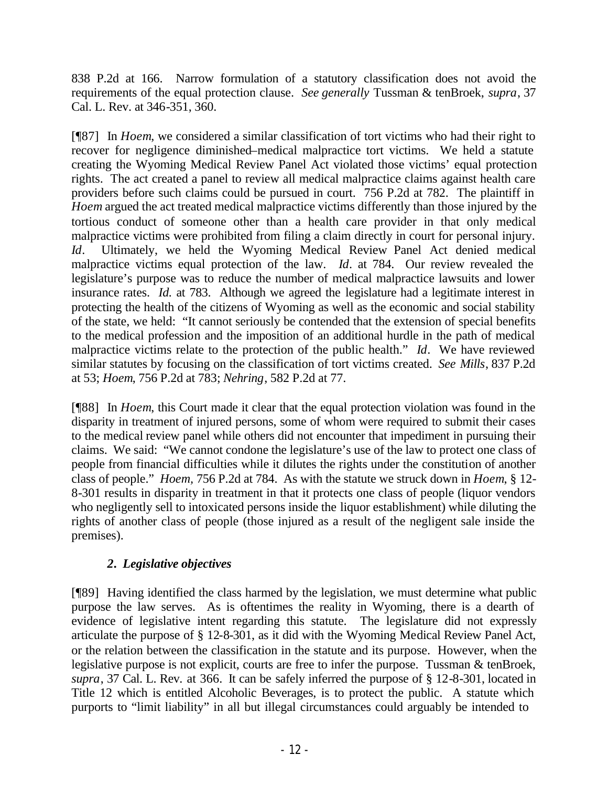838 P.2d at 166. Narrow formulation of a statutory classification does not avoid the requirements of the equal protection clause. *See generally* Tussman & tenBroek, *supra*, 37 Cal. L. Rev. at 346-351, 360.

[¶87] In *Hoem*, we considered a similar classification of tort victims who had their right to recover for negligence diminished–medical malpractice tort victims. We held a statute creating the Wyoming Medical Review Panel Act violated those victims' equal protection rights. The act created a panel to review all medical malpractice claims against health care providers before such claims could be pursued in court. 756 P.2d at 782. The plaintiff in *Hoem* argued the act treated medical malpractice victims differently than those injured by the tortious conduct of someone other than a health care provider in that only medical malpractice victims were prohibited from filing a claim directly in court for personal injury. *Id*. Ultimately, we held the Wyoming Medical Review Panel Act denied medical malpractice victims equal protection of the law. *Id*. at 784. Our review revealed the legislature's purpose was to reduce the number of medical malpractice lawsuits and lower insurance rates. *Id.* at 783. Although we agreed the legislature had a legitimate interest in protecting the health of the citizens of Wyoming as well as the economic and social stability of the state, we held: "It cannot seriously be contended that the extension of special benefits to the medical profession and the imposition of an additional hurdle in the path of medical malpractice victims relate to the protection of the public health." *Id*. We have reviewed similar statutes by focusing on the classification of tort victims created. *See Mills*, 837 P.2d at 53; *Hoem*, 756 P.2d at 783; *Nehring*, 582 P.2d at 77.

[¶88] In *Hoem*, this Court made it clear that the equal protection violation was found in the disparity in treatment of injured persons, some of whom were required to submit their cases to the medical review panel while others did not encounter that impediment in pursuing their claims. We said: "We cannot condone the legislature's use of the law to protect one class of people from financial difficulties while it dilutes the rights under the constitution of another class of people." *Hoem,* 756 P.2d at 784. As with the statute we struck down in *Hoem*, § 12- 8-301 results in disparity in treatment in that it protects one class of people (liquor vendors who negligently sell to intoxicated persons inside the liquor establishment) while diluting the rights of another class of people (those injured as a result of the negligent sale inside the premises).

# *2. Legislative objectives*

[¶89] Having identified the class harmed by the legislation, we must determine what public purpose the law serves. As is oftentimes the reality in Wyoming, there is a dearth of evidence of legislative intent regarding this statute. The legislature did not expressly articulate the purpose of § 12-8-301, as it did with the Wyoming Medical Review Panel Act, or the relation between the classification in the statute and its purpose. However, when the legislative purpose is not explicit, courts are free to infer the purpose. Tussman & tenBroek, *supra*, 37 Cal. L. Rev. at 366.It can be safely inferred the purpose of § 12-8-301, located in Title 12 which is entitled Alcoholic Beverages, is to protect the public. A statute which purports to "limit liability" in all but illegal circumstances could arguably be intended to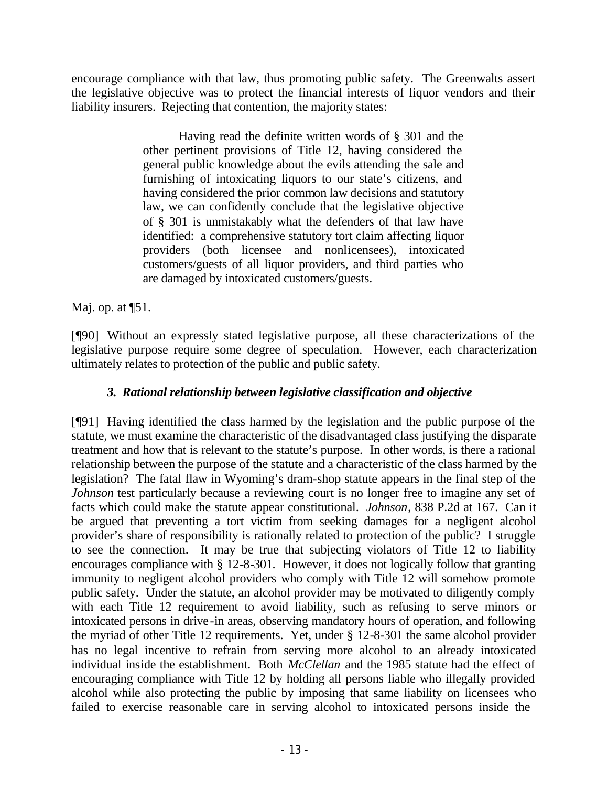encourage compliance with that law, thus promoting public safety. The Greenwalts assert the legislative objective was to protect the financial interests of liquor vendors and their liability insurers. Rejecting that contention, the majority states:

> Having read the definite written words of § 301 and the other pertinent provisions of Title 12, having considered the general public knowledge about the evils attending the sale and furnishing of intoxicating liquors to our state's citizens, and having considered the prior common law decisions and statutory law, we can confidently conclude that the legislative objective of § 301 is unmistakably what the defenders of that law have identified: a comprehensive statutory tort claim affecting liquor providers (both licensee and nonlicensees), intoxicated customers/guests of all liquor providers, and third parties who are damaged by intoxicated customers/guests.

Maj. op. at  $\P$ 51.

[¶90] Without an expressly stated legislative purpose, all these characterizations of the legislative purpose require some degree of speculation. However, each characterization ultimately relates to protection of the public and public safety.

## *3. Rational relationship between legislative classification and objective*

[¶91] Having identified the class harmed by the legislation and the public purpose of the statute, we must examine the characteristic of the disadvantaged class justifying the disparate treatment and how that is relevant to the statute's purpose. In other words, is there a rational relationship between the purpose of the statute and a characteristic of the class harmed by the legislation? The fatal flaw in Wyoming's dram-shop statute appears in the final step of the *Johnson* test particularly because a reviewing court is no longer free to imagine any set of facts which could make the statute appear constitutional. *Johnson*, 838 P.2d at 167. Can it be argued that preventing a tort victim from seeking damages for a negligent alcohol provider's share of responsibility is rationally related to protection of the public? I struggle to see the connection. It may be true that subjecting violators of Title 12 to liability encourages compliance with § 12-8-301. However, it does not logically follow that granting immunity to negligent alcohol providers who comply with Title 12 will somehow promote public safety. Under the statute, an alcohol provider may be motivated to diligently comply with each Title 12 requirement to avoid liability, such as refusing to serve minors or intoxicated persons in drive-in areas, observing mandatory hours of operation, and following the myriad of other Title 12 requirements. Yet, under § 12-8-301 the same alcohol provider has no legal incentive to refrain from serving more alcohol to an already intoxicated individual inside the establishment. Both *McClellan* and the 1985 statute had the effect of encouraging compliance with Title 12 by holding all persons liable who illegally provided alcohol while also protecting the public by imposing that same liability on licensees who failed to exercise reasonable care in serving alcohol to intoxicated persons inside the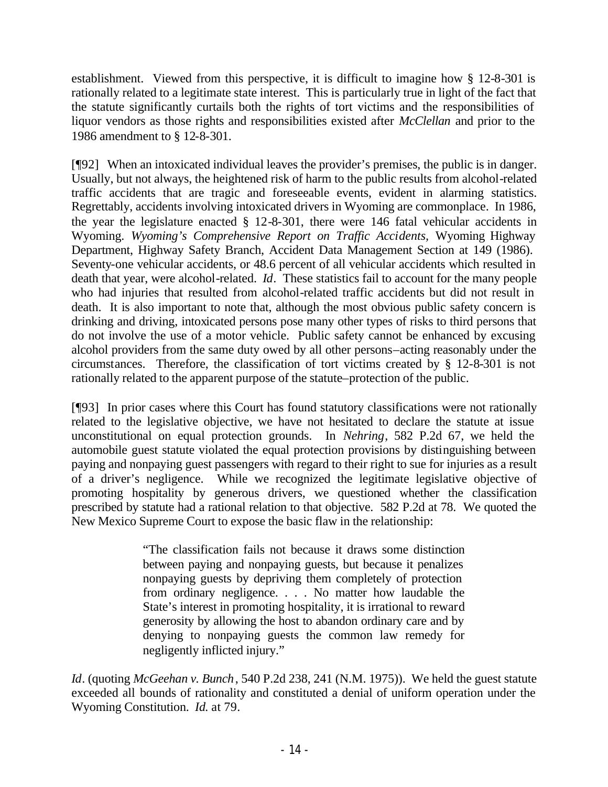establishment. Viewed from this perspective, it is difficult to imagine how § 12-8-301 is rationally related to a legitimate state interest. This is particularly true in light of the fact that the statute significantly curtails both the rights of tort victims and the responsibilities of liquor vendors as those rights and responsibilities existed after *McClellan* and prior to the 1986 amendment to § 12-8-301.

[¶92] When an intoxicated individual leaves the provider's premises, the public is in danger. Usually, but not always, the heightened risk of harm to the public results from alcohol-related traffic accidents that are tragic and foreseeable events, evident in alarming statistics. Regrettably, accidents involving intoxicated drivers in Wyoming are commonplace. In 1986, the year the legislature enacted § 12-8-301, there were 146 fatal vehicular accidents in Wyoming. *Wyoming's Comprehensive Report on Traffic Accidents,* Wyoming Highway Department, Highway Safety Branch, Accident Data Management Section at 149 (1986). Seventy-one vehicular accidents, or 48.6 percent of all vehicular accidents which resulted in death that year, were alcohol-related. *Id*. These statistics fail to account for the many people who had injuries that resulted from alcohol-related traffic accidents but did not result in death. It is also important to note that, although the most obvious public safety concern is drinking and driving, intoxicated persons pose many other types of risks to third persons that do not involve the use of a motor vehicle. Public safety cannot be enhanced by excusing alcohol providers from the same duty owed by all other persons–acting reasonably under the circumstances. Therefore, the classification of tort victims created by § 12-8-301 is not rationally related to the apparent purpose of the statute–protection of the public.

[¶93] In prior cases where this Court has found statutory classifications were not rationally related to the legislative objective, we have not hesitated to declare the statute at issue unconstitutional on equal protection grounds. In *Nehring*, 582 P.2d 67, we held the automobile guest statute violated the equal protection provisions by distinguishing between paying and nonpaying guest passengers with regard to their right to sue for injuries as a result of a driver's negligence. While we recognized the legitimate legislative objective of promoting hospitality by generous drivers, we questioned whether the classification prescribed by statute had a rational relation to that objective. 582 P.2d at 78. We quoted the New Mexico Supreme Court to expose the basic flaw in the relationship:

> "The classification fails not because it draws some distinction between paying and nonpaying guests, but because it penalizes nonpaying guests by depriving them completely of protection from ordinary negligence. . . . No matter how laudable the State's interest in promoting hospitality, it is irrational to reward generosity by allowing the host to abandon ordinary care and by denying to nonpaying guests the common law remedy for negligently inflicted injury."

*Id*. (quoting *McGeehan v. Bunch*, 540 P.2d 238, 241 (N.M. 1975)). We held the guest statute exceeded all bounds of rationality and constituted a denial of uniform operation under the Wyoming Constitution. *Id.* at 79.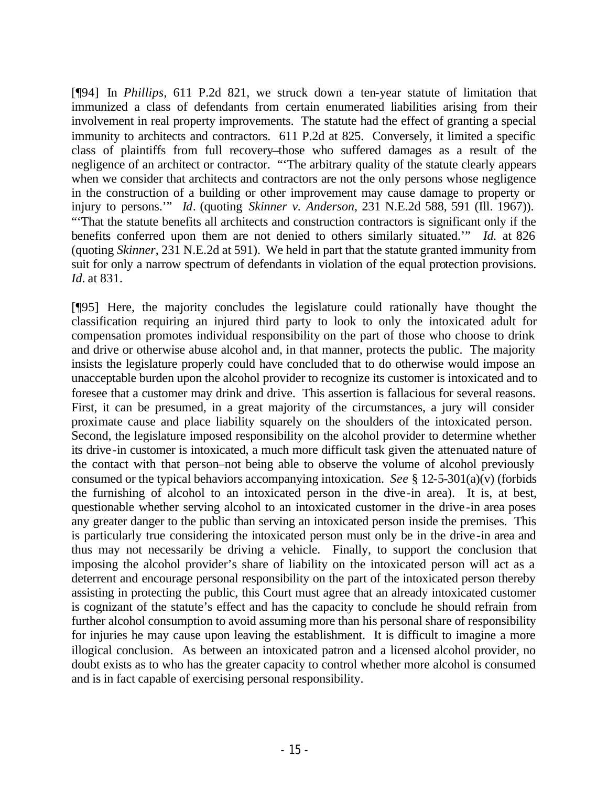[¶94] In *Phillips*, 611 P.2d 821, we struck down a ten-year statute of limitation that immunized a class of defendants from certain enumerated liabilities arising from their involvement in real property improvements. The statute had the effect of granting a special immunity to architects and contractors. 611 P.2d at 825. Conversely, it limited a specific class of plaintiffs from full recovery–those who suffered damages as a result of the negligence of an architect or contractor. "'The arbitrary quality of the statute clearly appears when we consider that architects and contractors are not the only persons whose negligence in the construction of a building or other improvement may cause damage to property or injury to persons.'" *Id*. (quoting *Skinner v. Anderson*, 231 N.E.2d 588, 591 (Ill. 1967)). "'That the statute benefits all architects and construction contractors is significant only if the benefits conferred upon them are not denied to others similarly situated.'" *Id.* at 826 (quoting *Skinner*, 231 N.E.2d at 591).We held in part that the statute granted immunity from suit for only a narrow spectrum of defendants in violation of the equal protection provisions. *Id.* at 831.

[¶95] Here, the majority concludes the legislature could rationally have thought the classification requiring an injured third party to look to only the intoxicated adult for compensation promotes individual responsibility on the part of those who choose to drink and drive or otherwise abuse alcohol and, in that manner, protects the public. The majority insists the legislature properly could have concluded that to do otherwise would impose an unacceptable burden upon the alcohol provider to recognize its customer is intoxicated and to foresee that a customer may drink and drive. This assertion is fallacious for several reasons. First, it can be presumed, in a great majority of the circumstances, a jury will consider proximate cause and place liability squarely on the shoulders of the intoxicated person. Second, the legislature imposed responsibility on the alcohol provider to determine whether its drive-in customer is intoxicated, a much more difficult task given the attenuated nature of the contact with that person–not being able to observe the volume of alcohol previously consumed or the typical behaviors accompanying intoxication. *See* § 12-5-301(a)(v) (forbids the furnishing of alcohol to an intoxicated person in the drive-in area). It is, at best, questionable whether serving alcohol to an intoxicated customer in the drive-in area poses any greater danger to the public than serving an intoxicated person inside the premises. This is particularly true considering the intoxicated person must only be in the drive-in area and thus may not necessarily be driving a vehicle. Finally, to support the conclusion that imposing the alcohol provider's share of liability on the intoxicated person will act as a deterrent and encourage personal responsibility on the part of the intoxicated person thereby assisting in protecting the public, this Court must agree that an already intoxicated customer is cognizant of the statute's effect and has the capacity to conclude he should refrain from further alcohol consumption to avoid assuming more than his personal share of responsibility for injuries he may cause upon leaving the establishment. It is difficult to imagine a more illogical conclusion. As between an intoxicated patron and a licensed alcohol provider, no doubt exists as to who has the greater capacity to control whether more alcohol is consumed and is in fact capable of exercising personal responsibility.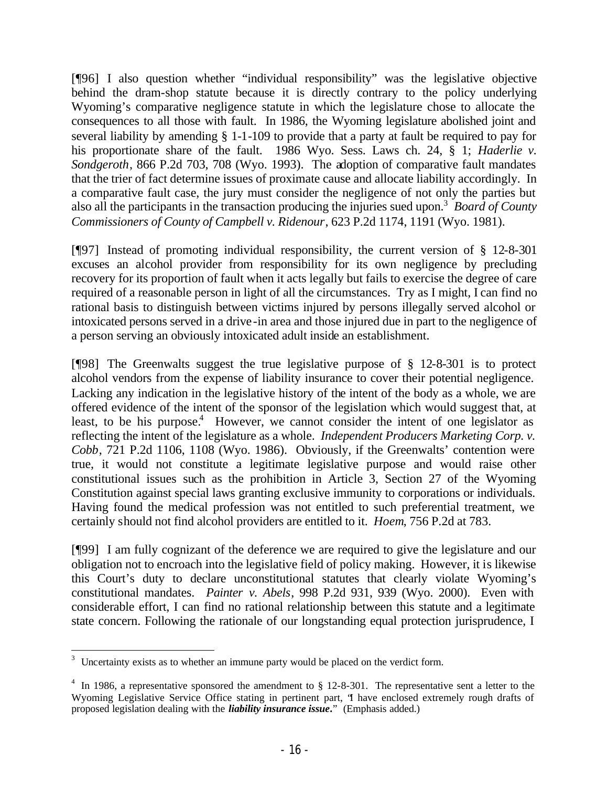[¶96] I also question whether "individual responsibility" was the legislative objective behind the dram-shop statute because it is directly contrary to the policy underlying Wyoming's comparative negligence statute in which the legislature chose to allocate the consequences to all those with fault. In 1986, the Wyoming legislature abolished joint and several liability by amending § 1-1-109 to provide that a party at fault be required to pay for his proportionate share of the fault. 1986 Wyo. Sess. Laws ch. 24, § 1; *Haderlie v. Sondgeroth*, 866 P.2d 703, 708 (Wyo. 1993).The adoption of comparative fault mandates that the trier of fact determine issues of proximate cause and allocate liability accordingly.In a comparative fault case, the jury must consider the negligence of not only the parties but also all the participants in the transaction producing the injuries sued upon.<sup>3</sup> *Board of County Commissioners of County of Campbell v. Ridenour*, 623 P.2d 1174, 1191 (Wyo. 1981).

[¶97] Instead of promoting individual responsibility, the current version of § 12-8-301 excuses an alcohol provider from responsibility for its own negligence by precluding recovery for its proportion of fault when it acts legally but fails to exercise the degree of care required of a reasonable person in light of all the circumstances. Try as I might, I can find no rational basis to distinguish between victims injured by persons illegally served alcohol or intoxicated persons served in a drive-in area and those injured due in part to the negligence of a person serving an obviously intoxicated adult inside an establishment.

[¶98] The Greenwalts suggest the true legislative purpose of § 12-8-301 is to protect alcohol vendors from the expense of liability insurance to cover their potential negligence. Lacking any indication in the legislative history of the intent of the body as a whole, we are offered evidence of the intent of the sponsor of the legislation which would suggest that, at least, to be his purpose.<sup>4</sup> However, we cannot consider the intent of one legislator as reflecting the intent of the legislature as a whole. *Independent Producers Marketing Corp. v. Cobb*, 721 P.2d 1106, 1108 (Wyo. 1986). Obviously, if the Greenwalts' contention were true, it would not constitute a legitimate legislative purpose and would raise other constitutional issues such as the prohibition in Article 3, Section 27 of the Wyoming Constitution against special laws granting exclusive immunity to corporations or individuals. Having found the medical profession was not entitled to such preferential treatment, we certainly should not find alcohol providers are entitled to it. *Hoem*, 756 P.2d at 783.

[¶99] I am fully cognizant of the deference we are required to give the legislature and our obligation not to encroach into the legislative field of policy making. However, it is likewise this Court's duty to declare unconstitutional statutes that clearly violate Wyoming's constitutional mandates. *Painter v. Abels*, 998 P.2d 931, 939 (Wyo. 2000). Even with considerable effort, I can find no rational relationship between this statute and a legitimate state concern. Following the rationale of our longstanding equal protection jurisprudence, I

<sup>&</sup>lt;sup>3</sup> Uncertainty exists as to whether an immune party would be placed on the verdict form.

<sup>&</sup>lt;sup>4</sup> In 1986, a representative sponsored the amendment to  $\S$  12-8-301. The representative sent a letter to the Wyoming Legislative Service Office stating in pertinent part, 'I have enclosed extremely rough drafts of proposed legislation dealing with the *liability insurance issue***.**" (Emphasis added.)